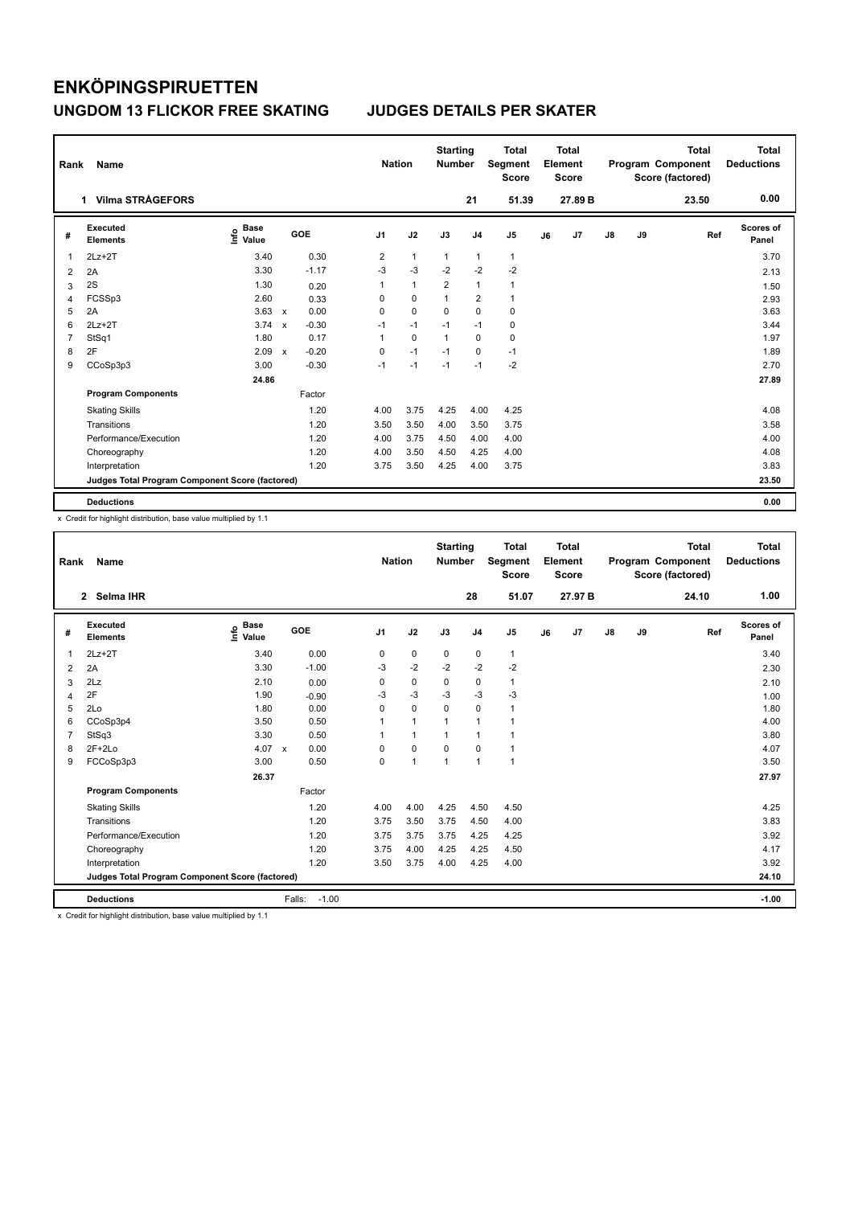| Rank           | Name                                            |                              |                           |         | <b>Nation</b>  |                | <b>Starting</b><br><b>Number</b> |                | <b>Total</b><br>Segment<br><b>Score</b> |    | <b>Total</b><br>Element<br><b>Score</b> |               |    | <b>Total</b><br>Program Component<br>Score (factored) | <b>Total</b><br><b>Deductions</b> |
|----------------|-------------------------------------------------|------------------------------|---------------------------|---------|----------------|----------------|----------------------------------|----------------|-----------------------------------------|----|-----------------------------------------|---------------|----|-------------------------------------------------------|-----------------------------------|
|                | <b>Vilma STRÅGEFORS</b><br>1.                   |                              |                           |         |                |                |                                  | 21             | 51.39                                   |    | 27.89 B                                 |               |    | 23.50                                                 | 0.00                              |
| #              | Executed<br><b>Elements</b>                     | <b>Base</b><br>lnfo<br>Value |                           | GOE     | J <sub>1</sub> | J2             | J3                               | J <sub>4</sub> | J <sub>5</sub>                          | J6 | J7                                      | $\mathsf{J}8$ | J9 | Ref                                                   | <b>Scores of</b><br>Panel         |
| 1              | $2Lz+2T$                                        | 3.40                         |                           | 0.30    | 2              | $\overline{1}$ | $\overline{1}$                   | $\mathbf{1}$   | $\mathbf{1}$                            |    |                                         |               |    |                                                       | 3.70                              |
| 2              | 2A                                              | 3.30                         |                           | $-1.17$ | $-3$           | $-3$           | $-2$                             | $-2$           | $-2$                                    |    |                                         |               |    |                                                       | 2.13                              |
| 3              | 2S                                              | 1.30                         |                           | 0.20    | 1              | $\mathbf{1}$   | $\overline{2}$                   | $\mathbf{1}$   | $\mathbf{1}$                            |    |                                         |               |    |                                                       | 1.50                              |
| 4              | FCSSp3                                          | 2.60                         |                           | 0.33    | 0              | 0              | $\mathbf{1}$                     | $\overline{2}$ | $\mathbf{1}$                            |    |                                         |               |    |                                                       | 2.93                              |
| 5              | 2A                                              | 3.63                         | $\mathbf{x}$              | 0.00    | 0              | $\mathbf 0$    | 0                                | $\pmb{0}$      | $\mathbf 0$                             |    |                                         |               |    |                                                       | 3.63                              |
| 6              | $2Lz+2T$                                        | 3.74                         | $\boldsymbol{\mathsf{x}}$ | $-0.30$ | $-1$           | $-1$           | $-1$                             | $-1$           | $\mathbf 0$                             |    |                                         |               |    |                                                       | 3.44                              |
| $\overline{7}$ | StSq1                                           | 1.80                         |                           | 0.17    | 1              | 0              | $\mathbf{1}$                     | 0              | 0                                       |    |                                         |               |    |                                                       | 1.97                              |
| 8              | 2F                                              | 2.09                         | $\boldsymbol{\mathsf{x}}$ | $-0.20$ | 0              | $-1$           | $-1$                             | 0              | $-1$                                    |    |                                         |               |    |                                                       | 1.89                              |
| 9              | CCoSp3p3                                        | 3.00                         |                           | $-0.30$ | $-1$           | $-1$           | $-1$                             | $-1$           | $-2$                                    |    |                                         |               |    |                                                       | 2.70                              |
|                |                                                 | 24.86                        |                           |         |                |                |                                  |                |                                         |    |                                         |               |    |                                                       | 27.89                             |
|                | <b>Program Components</b>                       |                              |                           | Factor  |                |                |                                  |                |                                         |    |                                         |               |    |                                                       |                                   |
|                | <b>Skating Skills</b>                           |                              |                           | 1.20    | 4.00           | 3.75           | 4.25                             | 4.00           | 4.25                                    |    |                                         |               |    |                                                       | 4.08                              |
|                | Transitions                                     |                              |                           | 1.20    | 3.50           | 3.50           | 4.00                             | 3.50           | 3.75                                    |    |                                         |               |    |                                                       | 3.58                              |
|                | Performance/Execution                           |                              |                           | 1.20    | 4.00           | 3.75           | 4.50                             | 4.00           | 4.00                                    |    |                                         |               |    |                                                       | 4.00                              |
|                | Choreography                                    |                              |                           | 1.20    | 4.00           | 3.50           | 4.50                             | 4.25           | 4.00                                    |    |                                         |               |    |                                                       | 4.08                              |
|                | Interpretation                                  |                              |                           | 1.20    | 3.75           | 3.50           | 4.25                             | 4.00           | 3.75                                    |    |                                         |               |    |                                                       | 3.83                              |
|                | Judges Total Program Component Score (factored) |                              |                           |         |                |                |                                  |                |                                         |    |                                         |               |    |                                                       | 23.50                             |
|                | <b>Deductions</b>                               |                              |                           |         |                |                |                                  |                |                                         |    |                                         |               |    |                                                       | 0.00                              |

x Credit for highlight distribution, base value multiplied by 1.1

| Rank           | Name                                            |                                  |                      | <b>Nation</b>  |                | <b>Starting</b><br><b>Number</b> |                | <b>Total</b><br>Segment<br><b>Score</b> |    | Total<br>Element<br><b>Score</b> |               |    | <b>Total</b><br>Program Component<br>Score (factored) | Total<br><b>Deductions</b> |
|----------------|-------------------------------------------------|----------------------------------|----------------------|----------------|----------------|----------------------------------|----------------|-----------------------------------------|----|----------------------------------|---------------|----|-------------------------------------------------------|----------------------------|
|                | 2 Selma IHR                                     |                                  |                      |                |                |                                  | 28             | 51.07                                   |    | 27.97 B                          |               |    | 24.10                                                 | 1.00                       |
| #              | Executed<br><b>Elements</b>                     | <b>Base</b><br>e Base<br>⊆ Value | GOE                  | J <sub>1</sub> | J2             | J3                               | J <sub>4</sub> | J <sub>5</sub>                          | J6 | J7                               | $\mathsf{J}8$ | J9 | Ref                                                   | <b>Scores of</b><br>Panel  |
| 1              | $2Lz+2T$                                        | 3.40                             | 0.00                 | 0              | $\mathbf 0$    | $\mathbf 0$                      | $\mathbf 0$    | $\mathbf{1}$                            |    |                                  |               |    |                                                       | 3.40                       |
| $\overline{2}$ | 2A                                              | 3.30                             | $-1.00$              | $-3$           | $-2$           | $-2$                             | $-2$           | $-2$                                    |    |                                  |               |    |                                                       | 2.30                       |
| 3              | 2Lz                                             | 2.10                             | 0.00                 | 0              | $\pmb{0}$      | 0                                | 0              | $\mathbf{1}$                            |    |                                  |               |    |                                                       | 2.10                       |
| 4              | 2F                                              | 1.90                             | $-0.90$              | -3             | $-3$           | $-3$                             | $-3$           | $-3$                                    |    |                                  |               |    |                                                       | 1.00                       |
| 5              | 2Lo                                             | 1.80                             | 0.00                 | $\Omega$       | $\mathbf 0$    | $\mathbf 0$                      | $\mathbf 0$    | 1                                       |    |                                  |               |    |                                                       | 1.80                       |
| 6              | CCoSp3p4                                        | 3.50                             | 0.50                 | 1              | $\mathbf{1}$   |                                  | $\mathbf{1}$   | $\overline{1}$                          |    |                                  |               |    |                                                       | 4.00                       |
| $\overline{7}$ | StSq3                                           | 3.30                             | 0.50                 | 1              | $\mathbf{1}$   |                                  | $\mathbf{1}$   | 1                                       |    |                                  |               |    |                                                       | 3.80                       |
| 8              | $2F+2Lo$                                        | 4.07                             | 0.00<br>$\mathbf{x}$ | $\Omega$       | $\mathbf 0$    | $\Omega$                         | 0              | $\mathbf{1}$                            |    |                                  |               |    |                                                       | 4.07                       |
| 9              | FCCoSp3p3                                       | 3.00                             | 0.50                 | 0              | $\overline{1}$ | $\overline{1}$                   | $\mathbf{1}$   | 1                                       |    |                                  |               |    |                                                       | 3.50                       |
|                |                                                 | 26.37                            |                      |                |                |                                  |                |                                         |    |                                  |               |    |                                                       | 27.97                      |
|                | <b>Program Components</b>                       |                                  | Factor               |                |                |                                  |                |                                         |    |                                  |               |    |                                                       |                            |
|                | <b>Skating Skills</b>                           |                                  | 1.20                 | 4.00           | 4.00           | 4.25                             | 4.50           | 4.50                                    |    |                                  |               |    |                                                       | 4.25                       |
|                | Transitions                                     |                                  | 1.20                 | 3.75           | 3.50           | 3.75                             | 4.50           | 4.00                                    |    |                                  |               |    |                                                       | 3.83                       |
|                | Performance/Execution                           |                                  | 1.20                 | 3.75           | 3.75           | 3.75                             | 4.25           | 4.25                                    |    |                                  |               |    |                                                       | 3.92                       |
|                | Choreography                                    |                                  | 1.20                 | 3.75           | 4.00           | 4.25                             | 4.25           | 4.50                                    |    |                                  |               |    |                                                       | 4.17                       |
|                | Interpretation                                  |                                  | 1.20                 | 3.50           | 3.75           | 4.00                             | 4.25           | 4.00                                    |    |                                  |               |    |                                                       | 3.92                       |
|                | Judges Total Program Component Score (factored) |                                  |                      |                |                |                                  |                |                                         |    |                                  |               |    |                                                       | 24.10                      |
|                | <b>Deductions</b>                               |                                  | $-1.00$<br>Falls:    |                |                |                                  |                |                                         |    |                                  |               |    |                                                       | $-1.00$                    |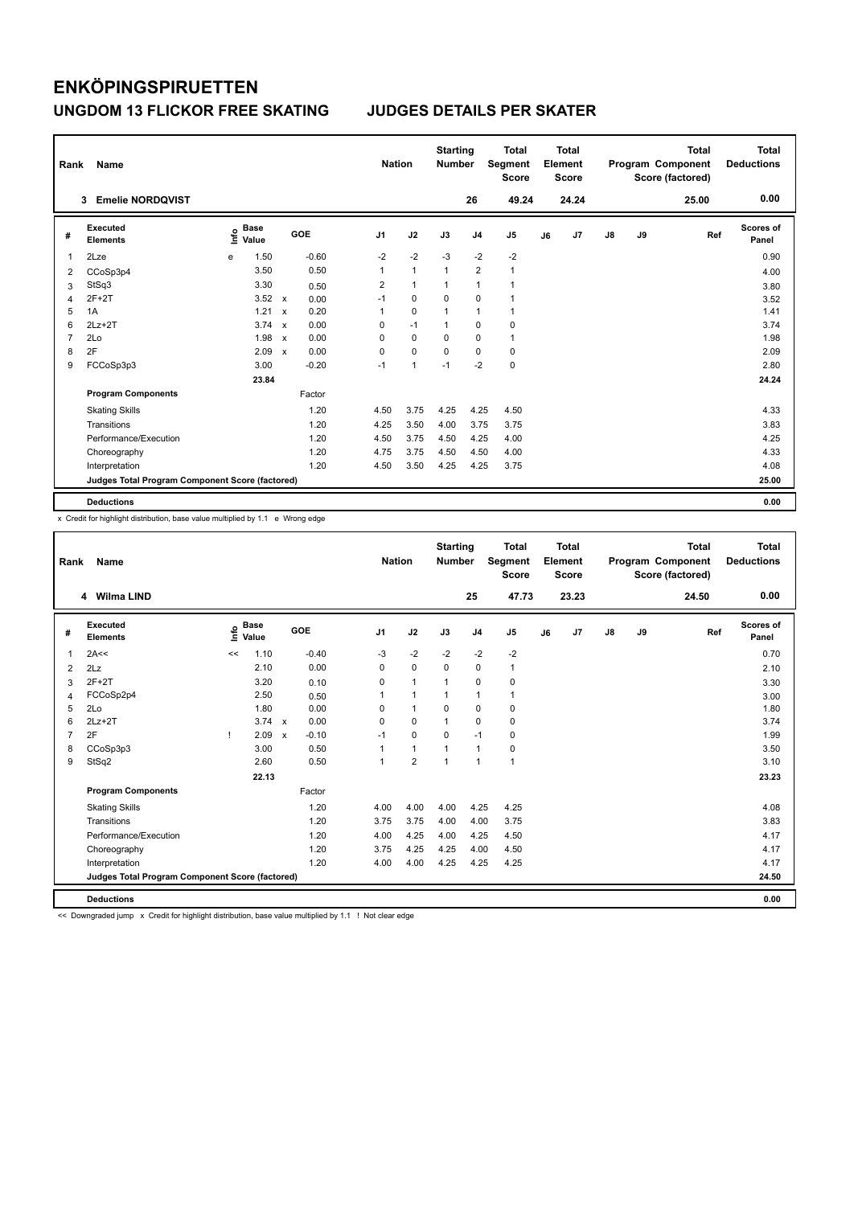| Rank           | Name                                            |      |                      |                           |         |                | <b>Nation</b>  | <b>Starting</b><br><b>Number</b> |                | <b>Total</b><br>Segment<br><b>Score</b> |    | <b>Total</b><br>Element<br><b>Score</b> |    |    | <b>Total</b><br>Program Component<br>Score (factored) | <b>Total</b><br><b>Deductions</b> |
|----------------|-------------------------------------------------|------|----------------------|---------------------------|---------|----------------|----------------|----------------------------------|----------------|-----------------------------------------|----|-----------------------------------------|----|----|-------------------------------------------------------|-----------------------------------|
|                | <b>Emelie NORDQVIST</b><br>3                    |      |                      |                           |         |                |                |                                  | 26             | 49.24                                   |    | 24.24                                   |    |    | 25.00                                                 | 0.00                              |
| #              | Executed<br><b>Elements</b>                     | lnfo | <b>Base</b><br>Value |                           | GOE     | J <sub>1</sub> | J2             | J3                               | J <sub>4</sub> | J <sub>5</sub>                          | J6 | J7                                      | J8 | J9 | Ref                                                   | <b>Scores of</b><br>Panel         |
| 1              | 2Lze                                            | e    | 1.50                 |                           | $-0.60$ | $-2$           | $-2$           | $-3$                             | $-2$           | -2                                      |    |                                         |    |    |                                                       | 0.90                              |
| 2              | CCoSp3p4                                        |      | 3.50                 |                           | 0.50    | 1              | $\mathbf{1}$   | $\overline{1}$                   | $\overline{2}$ | 1                                       |    |                                         |    |    |                                                       | 4.00                              |
| 3              | StSq3                                           |      | 3.30                 |                           | 0.50    | 2              | $\mathbf{1}$   | 1                                | $\overline{1}$ |                                         |    |                                         |    |    |                                                       | 3.80                              |
| 4              | $2F+2T$                                         |      | 3.52                 | $\mathsf{x}$              | 0.00    | $-1$           | $\mathbf 0$    | $\mathbf 0$                      | $\mathbf 0$    |                                         |    |                                         |    |    |                                                       | 3.52                              |
| 5              | 1A                                              |      | 1.21                 | $\mathbf x$               | 0.20    | 1              | $\mathbf 0$    | 1                                | $\overline{1}$ | $\mathbf{1}$                            |    |                                         |    |    |                                                       | 1.41                              |
| 6              | $2Lz+2T$                                        |      | 3.74                 | $\boldsymbol{\mathsf{x}}$ | 0.00    | 0              | $-1$           | 1                                | $\mathbf 0$    | 0                                       |    |                                         |    |    |                                                       | 3.74                              |
| $\overline{7}$ | 2Lo                                             |      | 1.98                 | $\boldsymbol{\mathsf{x}}$ | 0.00    | 0              | 0              | 0                                | $\mathbf 0$    | $\mathbf{1}$                            |    |                                         |    |    |                                                       | 1.98                              |
| 8              | 2F                                              |      | 2.09                 | $\boldsymbol{\mathsf{x}}$ | 0.00    | 0              | $\mathbf 0$    | $\Omega$                         | $\mathbf 0$    | 0                                       |    |                                         |    |    |                                                       | 2.09                              |
| 9              | FCCoSp3p3                                       |      | 3.00                 |                           | $-0.20$ | $-1$           | $\overline{1}$ | $-1$                             | $-2$           | $\mathbf 0$                             |    |                                         |    |    |                                                       | 2.80                              |
|                |                                                 |      | 23.84                |                           |         |                |                |                                  |                |                                         |    |                                         |    |    |                                                       | 24.24                             |
|                | <b>Program Components</b>                       |      |                      |                           | Factor  |                |                |                                  |                |                                         |    |                                         |    |    |                                                       |                                   |
|                | <b>Skating Skills</b>                           |      |                      |                           | 1.20    | 4.50           | 3.75           | 4.25                             | 4.25           | 4.50                                    |    |                                         |    |    |                                                       | 4.33                              |
|                | Transitions                                     |      |                      |                           | 1.20    | 4.25           | 3.50           | 4.00                             | 3.75           | 3.75                                    |    |                                         |    |    |                                                       | 3.83                              |
|                | Performance/Execution                           |      |                      |                           | 1.20    | 4.50           | 3.75           | 4.50                             | 4.25           | 4.00                                    |    |                                         |    |    |                                                       | 4.25                              |
|                | Choreography                                    |      |                      |                           | 1.20    | 4.75           | 3.75           | 4.50                             | 4.50           | 4.00                                    |    |                                         |    |    |                                                       | 4.33                              |
|                | Interpretation                                  |      |                      |                           | 1.20    | 4.50           | 3.50           | 4.25                             | 4.25           | 3.75                                    |    |                                         |    |    |                                                       | 4.08                              |
|                | Judges Total Program Component Score (factored) |      |                      |                           |         |                |                |                                  |                |                                         |    |                                         |    |    |                                                       | 25.00                             |
|                | <b>Deductions</b>                               |      |                      |                           |         |                |                |                                  |                |                                         |    |                                         |    |    |                                                       | 0.00                              |

x Credit for highlight distribution, base value multiplied by 1.1 e Wrong edge

| Rank           | <b>Name</b>                                     |      |                      |                         |                | <b>Nation</b>        | <b>Starting</b><br><b>Number</b> |                | <b>Total</b><br>Segment<br><b>Score</b> |    | Total<br>Element<br><b>Score</b> |               |    | <b>Total</b><br>Program Component<br>Score (factored) | Total<br><b>Deductions</b> |
|----------------|-------------------------------------------------|------|----------------------|-------------------------|----------------|----------------------|----------------------------------|----------------|-----------------------------------------|----|----------------------------------|---------------|----|-------------------------------------------------------|----------------------------|
|                | 4 Wilma LIND                                    |      |                      |                         |                |                      |                                  | 25             | 47.73                                   |    | 23.23                            |               |    | 24.50                                                 | 0.00                       |
| #              | <b>Executed</b><br><b>Elements</b>              | ١nf٥ | <b>Base</b><br>Value | GOE                     | J <sub>1</sub> | J2                   | J3                               | J <sub>4</sub> | J <sub>5</sub>                          | J6 | J7                               | $\mathsf{J}8$ | J9 | Ref                                                   | <b>Scores of</b><br>Panel  |
| $\mathbf{1}$   | 2A<<                                            | <<   | 1.10                 | $-0.40$                 | $-3$           | $-2$                 | $-2$                             | $-2$           | $-2$                                    |    |                                  |               |    |                                                       | 0.70                       |
| 2              | 2Lz                                             |      | 2.10                 | 0.00                    | 0              | $\mathbf 0$          | $\mathbf 0$                      | $\mathbf 0$    | 1                                       |    |                                  |               |    |                                                       | 2.10                       |
| 3              | $2F+2T$                                         |      | 3.20                 | 0.10                    | 0              | $\mathbf{1}$         | 1                                | $\pmb{0}$      | 0                                       |    |                                  |               |    |                                                       | 3.30                       |
| 4              | FCCoSp2p4                                       |      | 2.50                 | 0.50                    |                | $\blacktriangleleft$ | $\overline{1}$                   | $\mathbf{1}$   | 1                                       |    |                                  |               |    |                                                       | 3.00                       |
| 5              | 2Lo                                             |      | 1.80                 | 0.00                    | $\Omega$       | $\mathbf{1}$         | $\mathbf 0$                      | $\mathbf 0$    | 0                                       |    |                                  |               |    |                                                       | 1.80                       |
| 6              | $2Lz+2T$                                        |      | $3.74 \times$        | 0.00                    | $\Omega$       | $\mathbf 0$          | $\mathbf{1}$                     | $\mathbf 0$    | $\mathbf 0$                             |    |                                  |               |    |                                                       | 3.74                       |
| $\overline{7}$ | 2F                                              |      | 2.09                 | $-0.10$<br>$\mathbf{x}$ | $-1$           | $\Omega$             | $\Omega$                         | $-1$           | $\mathbf 0$                             |    |                                  |               |    |                                                       | 1.99                       |
| 8              | CCoSp3p3                                        |      | 3.00                 | 0.50                    |                | $\mathbf{1}$         | 1                                | $\mathbf{1}$   | $\mathbf 0$                             |    |                                  |               |    |                                                       | 3.50                       |
| 9              | StSq2                                           |      | 2.60                 | 0.50                    | 1              | $\overline{2}$       | $\overline{1}$                   | $\mathbf{1}$   | $\mathbf{1}$                            |    |                                  |               |    |                                                       | 3.10                       |
|                |                                                 |      | 22.13                |                         |                |                      |                                  |                |                                         |    |                                  |               |    |                                                       | 23.23                      |
|                | <b>Program Components</b>                       |      |                      | Factor                  |                |                      |                                  |                |                                         |    |                                  |               |    |                                                       |                            |
|                | <b>Skating Skills</b>                           |      |                      | 1.20                    | 4.00           | 4.00                 | 4.00                             | 4.25           | 4.25                                    |    |                                  |               |    |                                                       | 4.08                       |
|                | Transitions                                     |      |                      | 1.20                    | 3.75           | 3.75                 | 4.00                             | 4.00           | 3.75                                    |    |                                  |               |    |                                                       | 3.83                       |
|                | Performance/Execution                           |      |                      | 1.20                    | 4.00           | 4.25                 | 4.00                             | 4.25           | 4.50                                    |    |                                  |               |    |                                                       | 4.17                       |
|                | Choreography                                    |      |                      | 1.20                    | 3.75           | 4.25                 | 4.25                             | 4.00           | 4.50                                    |    |                                  |               |    |                                                       | 4.17                       |
|                | Interpretation                                  |      |                      | 1.20                    | 4.00           | 4.00                 | 4.25                             | 4.25           | 4.25                                    |    |                                  |               |    |                                                       | 4.17                       |
|                | Judges Total Program Component Score (factored) |      |                      |                         |                |                      |                                  |                |                                         |    |                                  |               |    |                                                       | 24.50                      |
|                | <b>Deductions</b>                               |      |                      |                         |                |                      |                                  |                |                                         |    |                                  |               |    |                                                       | 0.00                       |

<< Downgraded jump x Credit for highlight distribution, base value multiplied by 1.1 ! Not clear edge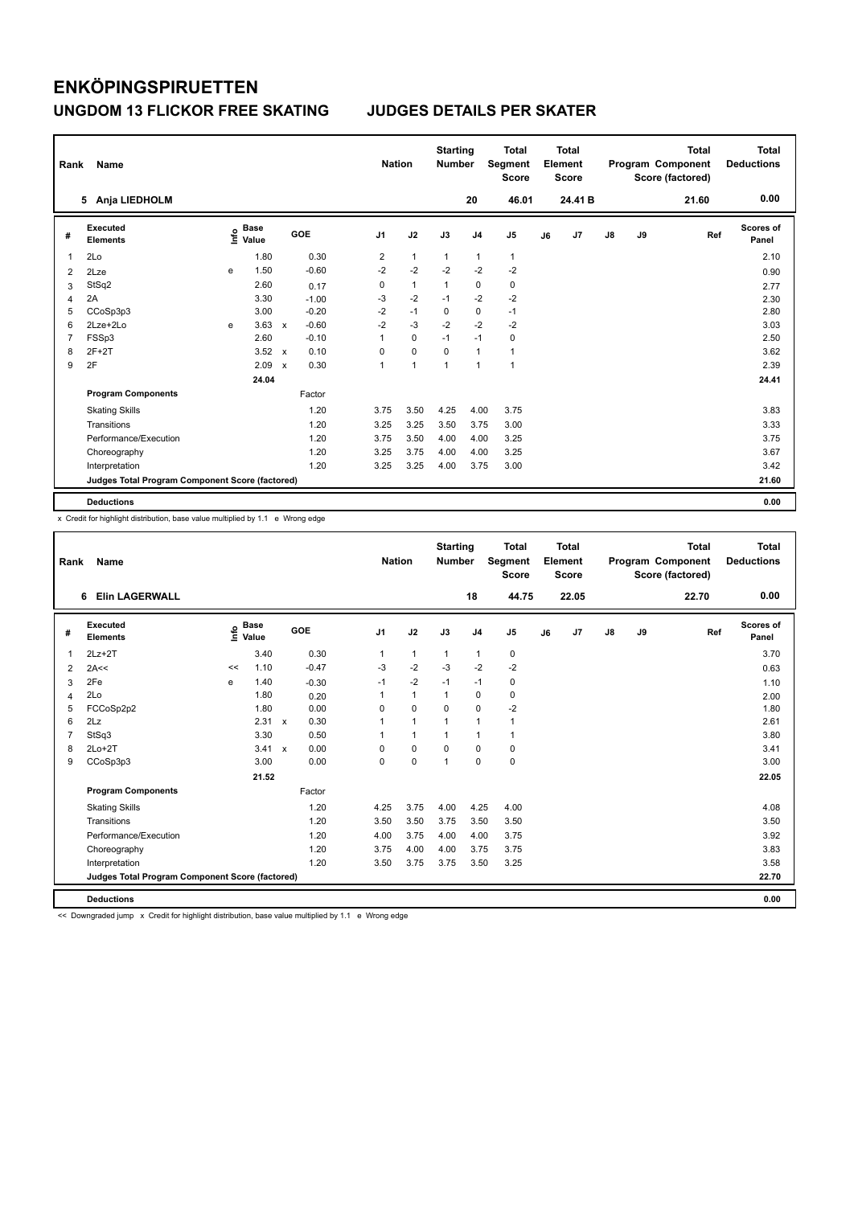| Rank | Name                                            |   |                                  |              |         |                | <b>Nation</b> | <b>Starting</b><br><b>Number</b> |                | <b>Total</b><br>Segment<br><b>Score</b> |    | <b>Total</b><br>Element<br><b>Score</b> |    |    | <b>Total</b><br>Program Component<br>Score (factored) | <b>Total</b><br><b>Deductions</b> |
|------|-------------------------------------------------|---|----------------------------------|--------------|---------|----------------|---------------|----------------------------------|----------------|-----------------------------------------|----|-----------------------------------------|----|----|-------------------------------------------------------|-----------------------------------|
|      | 5 Anja LIEDHOLM                                 |   |                                  |              |         |                |               |                                  | 20             | 46.01                                   |    | 24.41 B                                 |    |    | 21.60                                                 | 0.00                              |
| #    | <b>Executed</b><br><b>Elements</b>              |   | <b>Base</b><br>e Base<br>⊆ Value |              | GOE     | J <sub>1</sub> | J2            | J3                               | J <sub>4</sub> | J <sub>5</sub>                          | J6 | J7                                      | J8 | J9 | Ref                                                   | <b>Scores of</b><br>Panel         |
| 1    | 2Lo                                             |   | 1.80                             |              | 0.30    | 2              | 1             | 1                                | $\mathbf{1}$   | $\mathbf{1}$                            |    |                                         |    |    |                                                       | 2.10                              |
| 2    | 2Lze                                            | e | 1.50                             |              | $-0.60$ | $-2$           | $-2$          | $-2$                             | $-2$           | $-2$                                    |    |                                         |    |    |                                                       | 0.90                              |
| 3    | StSq2                                           |   | 2.60                             |              | 0.17    | 0              | $\mathbf{1}$  | 1                                | $\pmb{0}$      | $\pmb{0}$                               |    |                                         |    |    |                                                       | 2.77                              |
| 4    | 2A                                              |   | 3.30                             |              | $-1.00$ | $-3$           | $-2$          | $-1$                             | $-2$           | $-2$                                    |    |                                         |    |    |                                                       | 2.30                              |
| 5    | CCoSp3p3                                        |   | 3.00                             |              | $-0.20$ | $-2$           | $-1$          | $\Omega$                         | 0              | $-1$                                    |    |                                         |    |    |                                                       | 2.80                              |
| 6    | 2Lze+2Lo                                        | e | 3.63                             | $\mathsf{x}$ | $-0.60$ | $-2$           | $-3$          | $-2$                             | $-2$           | $-2$                                    |    |                                         |    |    |                                                       | 3.03                              |
| 7    | FSSp3                                           |   | 2.60                             |              | $-0.10$ | 1              | 0             | $-1$                             | $-1$           | 0                                       |    |                                         |    |    |                                                       | 2.50                              |
| 8    | $2F+2T$                                         |   | 3.52                             | $\mathbf{x}$ | 0.10    | 0              | $\mathbf 0$   | $\Omega$                         | $\mathbf{1}$   | $\mathbf{1}$                            |    |                                         |    |    |                                                       | 3.62                              |
| 9    | 2F                                              |   | 2.09                             | $\mathsf{x}$ | 0.30    | 1              | 1             | 1                                | $\mathbf{1}$   | $\overline{1}$                          |    |                                         |    |    |                                                       | 2.39                              |
|      |                                                 |   | 24.04                            |              |         |                |               |                                  |                |                                         |    |                                         |    |    |                                                       | 24.41                             |
|      | <b>Program Components</b>                       |   |                                  |              | Factor  |                |               |                                  |                |                                         |    |                                         |    |    |                                                       |                                   |
|      | <b>Skating Skills</b>                           |   |                                  |              | 1.20    | 3.75           | 3.50          | 4.25                             | 4.00           | 3.75                                    |    |                                         |    |    |                                                       | 3.83                              |
|      | Transitions                                     |   |                                  |              | 1.20    | 3.25           | 3.25          | 3.50                             | 3.75           | 3.00                                    |    |                                         |    |    |                                                       | 3.33                              |
|      | Performance/Execution                           |   |                                  |              | 1.20    | 3.75           | 3.50          | 4.00                             | 4.00           | 3.25                                    |    |                                         |    |    |                                                       | 3.75                              |
|      | Choreography                                    |   |                                  |              | 1.20    | 3.25           | 3.75          | 4.00                             | 4.00           | 3.25                                    |    |                                         |    |    |                                                       | 3.67                              |
|      | Interpretation                                  |   |                                  |              | 1.20    | 3.25           | 3.25          | 4.00                             | 3.75           | 3.00                                    |    |                                         |    |    |                                                       | 3.42                              |
|      | Judges Total Program Component Score (factored) |   |                                  |              |         |                |               |                                  |                |                                         |    |                                         |    |    |                                                       | 21.60                             |
|      | <b>Deductions</b>                               |   |                                  |              |         |                |               |                                  |                |                                         |    |                                         |    |    |                                                       | 0.00                              |

x Credit for highlight distribution, base value multiplied by 1.1 e Wrong edge

| Rank           | Name                                            |    |                                  |              |         | <b>Nation</b>  |              | <b>Starting</b><br><b>Number</b> |                | <b>Total</b><br>Segment<br><b>Score</b> |    | <b>Total</b><br>Element<br><b>Score</b> |    |    | <b>Total</b><br>Program Component<br>Score (factored) | Total<br><b>Deductions</b> |
|----------------|-------------------------------------------------|----|----------------------------------|--------------|---------|----------------|--------------|----------------------------------|----------------|-----------------------------------------|----|-----------------------------------------|----|----|-------------------------------------------------------|----------------------------|
|                | <b>Elin LAGERWALL</b><br>6                      |    |                                  |              |         |                |              |                                  | 18             | 44.75                                   |    | 22.05                                   |    |    | 22.70                                                 | 0.00                       |
| #              | Executed<br><b>Elements</b>                     |    | <b>Base</b><br>e Base<br>⊆ Value | <b>GOE</b>   |         | J <sub>1</sub> | J2           | J3                               | J <sub>4</sub> | J <sub>5</sub>                          | J6 | J7                                      | J8 | J9 | Ref                                                   | Scores of<br>Panel         |
| 1              | $2Lz+2T$                                        |    | 3.40                             |              | 0.30    | 1              | $\mathbf{1}$ | $\mathbf{1}$                     | $\mathbf{1}$   | 0                                       |    |                                         |    |    |                                                       | 3.70                       |
| 2              | 2A<<                                            | << | 1.10                             |              | $-0.47$ | $-3$           | $-2$         | $-3$                             | $-2$           | $-2$                                    |    |                                         |    |    |                                                       | 0.63                       |
| 3              | 2Fe                                             | e  | 1.40                             |              | $-0.30$ | $-1$           | $-2$         | $-1$                             | $-1$           | 0                                       |    |                                         |    |    |                                                       | 1.10                       |
| $\overline{4}$ | 2Lo                                             |    | 1.80                             |              | 0.20    | 1              | $\mathbf{1}$ | $\mathbf{1}$                     | $\mathbf 0$    | 0                                       |    |                                         |    |    |                                                       | 2.00                       |
| 5              | FCCoSp2p2                                       |    | 1.80                             |              | 0.00    | $\Omega$       | $\mathbf 0$  | $\Omega$                         | $\Omega$       | $-2$                                    |    |                                         |    |    |                                                       | 1.80                       |
| 6              | 2Lz                                             |    | 2.31                             | $\mathsf{x}$ | 0.30    | 1              | $\mathbf{1}$ | $\overline{1}$                   | $\mathbf{1}$   | $\mathbf{1}$                            |    |                                         |    |    |                                                       | 2.61                       |
| $\overline{7}$ | StSq3                                           |    | 3.30                             |              | 0.50    | 1              | $\mathbf{1}$ | 1                                | $\mathbf{1}$   | 1                                       |    |                                         |    |    |                                                       | 3.80                       |
| 8              | $2Lo+2T$                                        |    | 3.41                             | $\mathsf{x}$ | 0.00    | $\Omega$       | $\mathbf 0$  | $\Omega$                         | $\mathbf 0$    | 0                                       |    |                                         |    |    |                                                       | 3.41                       |
| 9              | CCoSp3p3                                        |    | 3.00                             |              | 0.00    | 0              | $\mathbf 0$  | $\overline{1}$                   | $\mathbf 0$    | $\pmb{0}$                               |    |                                         |    |    |                                                       | 3.00                       |
|                |                                                 |    | 21.52                            |              |         |                |              |                                  |                |                                         |    |                                         |    |    |                                                       | 22.05                      |
|                | <b>Program Components</b>                       |    |                                  |              | Factor  |                |              |                                  |                |                                         |    |                                         |    |    |                                                       |                            |
|                | <b>Skating Skills</b>                           |    |                                  |              | 1.20    | 4.25           | 3.75         | 4.00                             | 4.25           | 4.00                                    |    |                                         |    |    |                                                       | 4.08                       |
|                | Transitions                                     |    |                                  |              | 1.20    | 3.50           | 3.50         | 3.75                             | 3.50           | 3.50                                    |    |                                         |    |    |                                                       | 3.50                       |
|                | Performance/Execution                           |    |                                  |              | 1.20    | 4.00           | 3.75         | 4.00                             | 4.00           | 3.75                                    |    |                                         |    |    |                                                       | 3.92                       |
|                | Choreography                                    |    |                                  |              | 1.20    | 3.75           | 4.00         | 4.00                             | 3.75           | 3.75                                    |    |                                         |    |    |                                                       | 3.83                       |
|                | Interpretation                                  |    |                                  |              | 1.20    | 3.50           | 3.75         | 3.75                             | 3.50           | 3.25                                    |    |                                         |    |    |                                                       | 3.58                       |
|                | Judges Total Program Component Score (factored) |    |                                  |              |         |                |              |                                  |                |                                         |    |                                         |    |    |                                                       | 22.70                      |
|                | <b>Deductions</b>                               |    |                                  |              |         |                |              |                                  |                |                                         |    |                                         |    |    |                                                       | 0.00                       |

<< Downgraded jump x Credit for highlight distribution, base value multiplied by 1.1 e Wrong edge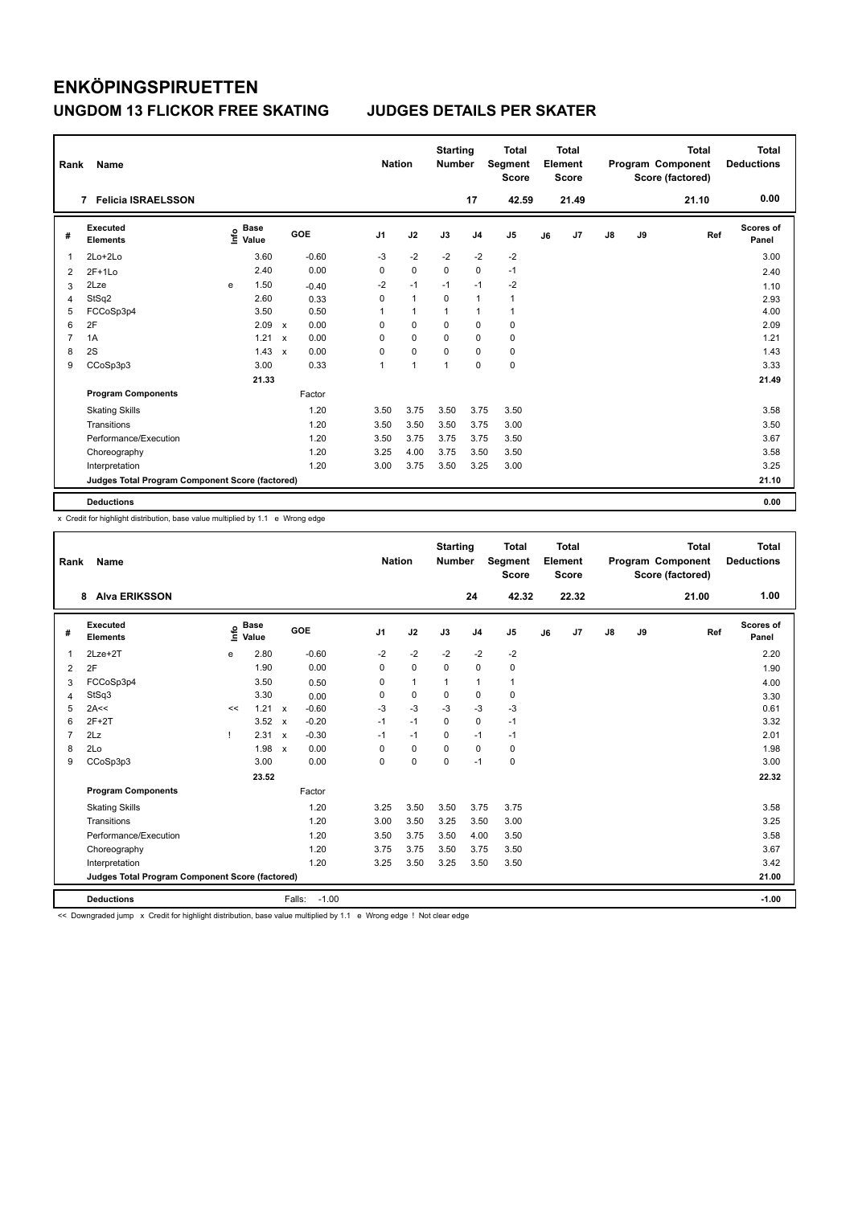| Rank           | Name                                            |   |                                  |                           |         |                | <b>Nation</b>  | <b>Starting</b><br><b>Number</b> |                | <b>Total</b><br>Segment<br><b>Score</b> |    | <b>Total</b><br>Element<br><b>Score</b> |    |    | <b>Total</b><br>Program Component<br>Score (factored) | Total<br><b>Deductions</b> |
|----------------|-------------------------------------------------|---|----------------------------------|---------------------------|---------|----------------|----------------|----------------------------------|----------------|-----------------------------------------|----|-----------------------------------------|----|----|-------------------------------------------------------|----------------------------|
|                | <b>Felicia ISRAELSSON</b><br>7                  |   |                                  |                           |         |                |                |                                  | 17             | 42.59                                   |    | 21.49                                   |    |    | 21.10                                                 | 0.00                       |
| #              | Executed<br><b>Elements</b>                     |   | <b>Base</b><br>e Base<br>⊆ Value |                           | GOE     | J <sub>1</sub> | J2             | J3                               | J <sub>4</sub> | J <sub>5</sub>                          | J6 | J7                                      | J8 | J9 | Ref                                                   | Scores of<br>Panel         |
| 1              | 2Lo+2Lo                                         |   | 3.60                             |                           | $-0.60$ | $-3$           | $-2$           | $-2$                             | $-2$           | $-2$                                    |    |                                         |    |    |                                                       | 3.00                       |
| 2              | $2F+1Lo$                                        |   | 2.40                             |                           | 0.00    | 0              | $\mathbf 0$    | 0                                | $\mathbf 0$    | $-1$                                    |    |                                         |    |    |                                                       | 2.40                       |
| 3              | 2Lze                                            | e | 1.50                             |                           | $-0.40$ | $-2$           | $-1$           | $-1$                             | $-1$           | $-2$                                    |    |                                         |    |    |                                                       | 1.10                       |
| 4              | StSq2                                           |   | 2.60                             |                           | 0.33    | 0              | $\overline{1}$ | $\mathbf 0$                      | $\mathbf{1}$   | $\mathbf{1}$                            |    |                                         |    |    |                                                       | 2.93                       |
| 5              | FCCoSp3p4                                       |   | 3.50                             |                           | 0.50    | 1              | $\overline{1}$ | $\overline{1}$                   | $\mathbf{1}$   | 1                                       |    |                                         |    |    |                                                       | 4.00                       |
| 6              | 2F                                              |   | 2.09                             | $\boldsymbol{\mathsf{x}}$ | 0.00    | 0              | $\pmb{0}$      | $\mathbf 0$                      | $\mathbf 0$    | 0                                       |    |                                         |    |    |                                                       | 2.09                       |
| $\overline{7}$ | 1A                                              |   | 1.21                             | $\boldsymbol{\mathsf{x}}$ | 0.00    | 0              | $\mathbf 0$    | 0                                | 0              | 0                                       |    |                                         |    |    |                                                       | 1.21                       |
| 8              | 2S                                              |   | 1.43                             | $\boldsymbol{\mathsf{x}}$ | 0.00    | 0              | $\mathbf 0$    | $\Omega$                         | $\mathbf 0$    | 0                                       |    |                                         |    |    |                                                       | 1.43                       |
| 9              | CCoSp3p3                                        |   | 3.00                             |                           | 0.33    | 1              | $\overline{1}$ | $\overline{1}$                   | $\mathbf 0$    | $\mathbf 0$                             |    |                                         |    |    |                                                       | 3.33                       |
|                |                                                 |   | 21.33                            |                           |         |                |                |                                  |                |                                         |    |                                         |    |    |                                                       | 21.49                      |
|                | <b>Program Components</b>                       |   |                                  |                           | Factor  |                |                |                                  |                |                                         |    |                                         |    |    |                                                       |                            |
|                | <b>Skating Skills</b>                           |   |                                  |                           | 1.20    | 3.50           | 3.75           | 3.50                             | 3.75           | 3.50                                    |    |                                         |    |    |                                                       | 3.58                       |
|                | Transitions                                     |   |                                  |                           | 1.20    | 3.50           | 3.50           | 3.50                             | 3.75           | 3.00                                    |    |                                         |    |    |                                                       | 3.50                       |
|                | Performance/Execution                           |   |                                  |                           | 1.20    | 3.50           | 3.75           | 3.75                             | 3.75           | 3.50                                    |    |                                         |    |    |                                                       | 3.67                       |
|                | Choreography                                    |   |                                  |                           | 1.20    | 3.25           | 4.00           | 3.75                             | 3.50           | 3.50                                    |    |                                         |    |    |                                                       | 3.58                       |
|                | Interpretation                                  |   |                                  |                           | 1.20    | 3.00           | 3.75           | 3.50                             | 3.25           | 3.00                                    |    |                                         |    |    |                                                       | 3.25                       |
|                | Judges Total Program Component Score (factored) |   |                                  |                           |         |                |                |                                  |                |                                         |    |                                         |    |    |                                                       | 21.10                      |
|                | <b>Deductions</b>                               |   |                                  |                           |         |                |                |                                  |                |                                         |    |                                         |    |    |                                                       | 0.00                       |

x Credit for highlight distribution, base value multiplied by 1.1 e Wrong edge

| Rank           | Name                                            |      |                      |                           |                   | <b>Nation</b>  |              | <b>Starting</b><br><b>Number</b> |                | <b>Total</b><br>Segment<br><b>Score</b> |    | Total<br>Element<br><b>Score</b> |    |    | <b>Total</b><br>Program Component<br>Score (factored) | Total<br><b>Deductions</b> |
|----------------|-------------------------------------------------|------|----------------------|---------------------------|-------------------|----------------|--------------|----------------------------------|----------------|-----------------------------------------|----|----------------------------------|----|----|-------------------------------------------------------|----------------------------|
|                | <b>Alva ERIKSSON</b><br>8                       |      |                      |                           |                   |                |              |                                  | 24             | 42.32                                   |    | 22.32                            |    |    | 21.00                                                 | 1.00                       |
| #              | Executed<br><b>Elements</b>                     | ١nf٥ | <b>Base</b><br>Value |                           | GOE               | J <sub>1</sub> | J2           | J3                               | J <sub>4</sub> | J <sub>5</sub>                          | J6 | J <sub>7</sub>                   | J8 | J9 | Ref                                                   | <b>Scores of</b><br>Panel  |
| $\mathbf{1}$   | $2Lze+2T$                                       | e    | 2.80                 |                           | $-0.60$           | $-2$           | $-2$         | $-2$                             | $-2$           | $-2$                                    |    |                                  |    |    |                                                       | 2.20                       |
| 2              | 2F                                              |      | 1.90                 |                           | 0.00              | 0              | $\mathbf 0$  | $\mathbf 0$                      | $\mathbf 0$    | $\mathbf 0$                             |    |                                  |    |    |                                                       | 1.90                       |
| 3              | FCCoSp3p4                                       |      | 3.50                 |                           | 0.50              | 0              | $\mathbf{1}$ | $\mathbf{1}$                     | $\mathbf{1}$   | 1                                       |    |                                  |    |    |                                                       | 4.00                       |
| $\overline{4}$ | StSq3                                           |      | 3.30                 |                           | 0.00              | 0              | $\mathbf 0$  | $\Omega$                         | $\mathbf 0$    | $\mathbf 0$                             |    |                                  |    |    |                                                       | 3.30                       |
| 5              | 2A<<                                            | <<   | 1.21                 | $\boldsymbol{\mathsf{x}}$ | $-0.60$           | $-3$           | $-3$         | $-3$                             | $-3$           | $-3$                                    |    |                                  |    |    |                                                       | 0.61                       |
| 6              | $2F+2T$                                         |      | 3.52                 | $\boldsymbol{\mathsf{x}}$ | $-0.20$           | $-1$           | $-1$         | $\Omega$                         | $\mathbf 0$    | $-1$                                    |    |                                  |    |    |                                                       | 3.32                       |
| $\overline{7}$ | 2Lz                                             |      | 2.31                 | $\boldsymbol{\mathsf{x}}$ | $-0.30$           | $-1$           | $-1$         | $\mathbf 0$                      | $-1$           | $-1$                                    |    |                                  |    |    |                                                       | 2.01                       |
| 8              | 2Lo                                             |      | 1.98                 | $\mathbf{x}$              | 0.00              | $\Omega$       | $\mathbf 0$  | $\Omega$                         | $\mathbf 0$    | $\mathbf 0$                             |    |                                  |    |    |                                                       | 1.98                       |
| 9              | CCoSp3p3                                        |      | 3.00                 |                           | 0.00              | $\Omega$       | $\mathbf 0$  | $\Omega$                         | $-1$           | $\mathbf 0$                             |    |                                  |    |    |                                                       | 3.00                       |
|                |                                                 |      | 23.52                |                           |                   |                |              |                                  |                |                                         |    |                                  |    |    |                                                       | 22.32                      |
|                | <b>Program Components</b>                       |      |                      |                           | Factor            |                |              |                                  |                |                                         |    |                                  |    |    |                                                       |                            |
|                | <b>Skating Skills</b>                           |      |                      |                           | 1.20              | 3.25           | 3.50         | 3.50                             | 3.75           | 3.75                                    |    |                                  |    |    |                                                       | 3.58                       |
|                | Transitions                                     |      |                      |                           | 1.20              | 3.00           | 3.50         | 3.25                             | 3.50           | 3.00                                    |    |                                  |    |    |                                                       | 3.25                       |
|                | Performance/Execution                           |      |                      |                           | 1.20              | 3.50           | 3.75         | 3.50                             | 4.00           | 3.50                                    |    |                                  |    |    |                                                       | 3.58                       |
|                | Choreography                                    |      |                      |                           | 1.20              | 3.75           | 3.75         | 3.50                             | 3.75           | 3.50                                    |    |                                  |    |    |                                                       | 3.67                       |
|                | Interpretation                                  |      |                      |                           | 1.20              | 3.25           | 3.50         | 3.25                             | 3.50           | 3.50                                    |    |                                  |    |    |                                                       | 3.42                       |
|                | Judges Total Program Component Score (factored) |      |                      |                           |                   |                |              |                                  |                |                                         |    |                                  |    |    |                                                       | 21.00                      |
|                | <b>Deductions</b>                               |      |                      |                           | $-1.00$<br>Falls: |                |              |                                  |                |                                         |    |                                  |    |    |                                                       | $-1.00$                    |

<< Downgraded jump x Credit for highlight distribution, base value multiplied by 1.1 e Wrong edge ! Not clear edge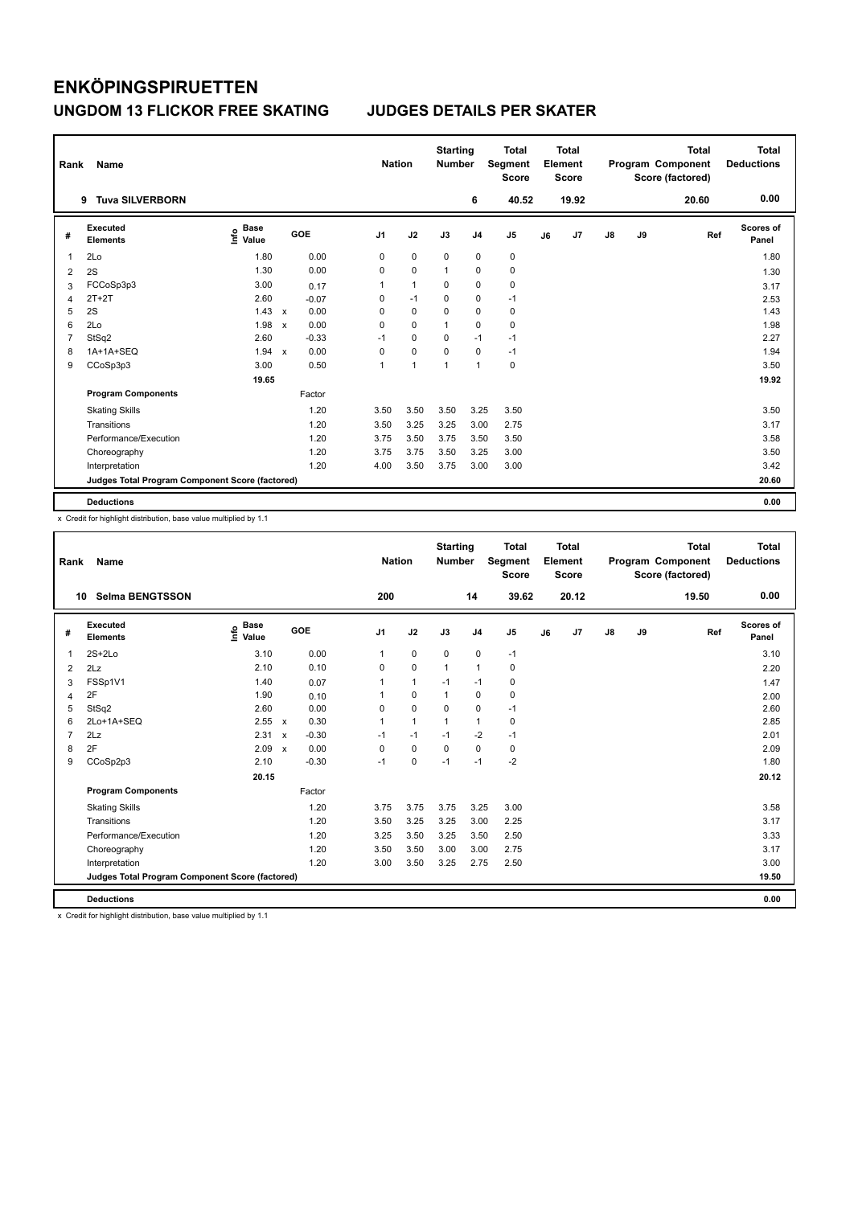| Rank           | Name                                            |                                  |             |         |                | <b>Nation</b> | <b>Starting</b><br><b>Number</b> |                | <b>Total</b><br>Segment<br><b>Score</b> |    | <b>Total</b><br>Element<br><b>Score</b> |    |    | <b>Total</b><br>Program Component<br>Score (factored) | <b>Total</b><br><b>Deductions</b> |
|----------------|-------------------------------------------------|----------------------------------|-------------|---------|----------------|---------------|----------------------------------|----------------|-----------------------------------------|----|-----------------------------------------|----|----|-------------------------------------------------------|-----------------------------------|
|                | <b>Tuva SILVERBORN</b><br>9                     |                                  |             |         |                |               |                                  | 6              | 40.52                                   |    | 19.92                                   |    |    | 20.60                                                 | 0.00                              |
| #              | Executed<br><b>Elements</b>                     | <b>Base</b><br>e Base<br>⊆ Value |             | GOE     | J <sub>1</sub> | J2            | J3                               | J <sub>4</sub> | J <sub>5</sub>                          | J6 | J7                                      | J8 | J9 | Ref                                                   | <b>Scores of</b><br>Panel         |
| 1              | 2Lo                                             | 1.80                             |             | 0.00    | 0              | $\mathbf 0$   | 0                                | $\mathbf 0$    | 0                                       |    |                                         |    |    |                                                       | 1.80                              |
| 2              | 2S                                              | 1.30                             |             | 0.00    | 0              | 0             | 1                                | 0              | $\mathbf 0$                             |    |                                         |    |    |                                                       | 1.30                              |
| 3              | FCCoSp3p3                                       | 3.00                             |             | 0.17    | 1              | $\mathbf{1}$  | 0                                | $\pmb{0}$      | $\mathbf 0$                             |    |                                         |    |    |                                                       | 3.17                              |
| 4              | $2T+2T$                                         | 2.60                             |             | $-0.07$ | 0              | $-1$          | 0                                | 0              | $-1$                                    |    |                                         |    |    |                                                       | 2.53                              |
| 5              | 2S                                              | $1.43 \times$                    |             | 0.00    | 0              | $\mathbf 0$   | $\Omega$                         | 0              | 0                                       |    |                                         |    |    |                                                       | 1.43                              |
| 6              | 2Lo                                             | 1.98                             | X           | 0.00    | 0              | 0             | 1                                | 0              | $\mathbf 0$                             |    |                                         |    |    |                                                       | 1.98                              |
| $\overline{7}$ | StSq2                                           | 2.60                             |             | $-0.33$ | $-1$           | 0             | $\Omega$                         | $-1$           | $-1$                                    |    |                                         |    |    |                                                       | 2.27                              |
| 8              | 1A+1A+SEQ                                       | 1.94                             | $\mathbf x$ | 0.00    | 0              | 0             | $\Omega$                         | $\mathbf 0$    | $-1$                                    |    |                                         |    |    |                                                       | 1.94                              |
| 9              | CCoSp3p3                                        | 3.00                             |             | 0.50    | 1              | 1             | 1                                | $\overline{1}$ | $\mathbf 0$                             |    |                                         |    |    |                                                       | 3.50                              |
|                |                                                 | 19.65                            |             |         |                |               |                                  |                |                                         |    |                                         |    |    |                                                       | 19.92                             |
|                | <b>Program Components</b>                       |                                  |             | Factor  |                |               |                                  |                |                                         |    |                                         |    |    |                                                       |                                   |
|                | <b>Skating Skills</b>                           |                                  |             | 1.20    | 3.50           | 3.50          | 3.50                             | 3.25           | 3.50                                    |    |                                         |    |    |                                                       | 3.50                              |
|                | Transitions                                     |                                  |             | 1.20    | 3.50           | 3.25          | 3.25                             | 3.00           | 2.75                                    |    |                                         |    |    |                                                       | 3.17                              |
|                | Performance/Execution                           |                                  |             | 1.20    | 3.75           | 3.50          | 3.75                             | 3.50           | 3.50                                    |    |                                         |    |    |                                                       | 3.58                              |
|                | Choreography                                    |                                  |             | 1.20    | 3.75           | 3.75          | 3.50                             | 3.25           | 3.00                                    |    |                                         |    |    |                                                       | 3.50                              |
|                | Interpretation                                  |                                  |             | 1.20    | 4.00           | 3.50          | 3.75                             | 3.00           | 3.00                                    |    |                                         |    |    |                                                       | 3.42                              |
|                | Judges Total Program Component Score (factored) |                                  |             |         |                |               |                                  |                |                                         |    |                                         |    |    |                                                       | 20.60                             |
|                | <b>Deductions</b>                               |                                  |             |         |                |               |                                  |                |                                         |    |                                         |    |    |                                                       | 0.00                              |

x Credit for highlight distribution, base value multiplied by 1.1

| Rank           | <b>Name</b>                                     |                                    |                           |         | <b>Nation</b>  |              | <b>Starting</b><br><b>Number</b> |                | <b>Total</b><br>Segment<br><b>Score</b> |    | Total<br>Element<br><b>Score</b> |            |    | <b>Total</b><br>Program Component<br>Score (factored) | <b>Total</b><br><b>Deductions</b> |
|----------------|-------------------------------------------------|------------------------------------|---------------------------|---------|----------------|--------------|----------------------------------|----------------|-----------------------------------------|----|----------------------------------|------------|----|-------------------------------------------------------|-----------------------------------|
| 10             | <b>Selma BENGTSSON</b>                          |                                    |                           |         | 200            |              |                                  | 14             | 39.62                                   |    | 20.12                            |            |    | 19.50                                                 | 0.00                              |
| #              | Executed<br><b>Elements</b>                     | <b>Base</b><br>$\frac{6}{5}$ Value |                           | GOE     | J <sub>1</sub> | J2           | J3                               | J <sub>4</sub> | J <sub>5</sub>                          | J6 | J7                               | ${\sf J8}$ | J9 | Ref                                                   | <b>Scores of</b><br>Panel         |
| $\mathbf 1$    | $2S+2Lo$                                        | 3.10                               |                           | 0.00    | 1              | $\pmb{0}$    | $\mathbf 0$                      | 0              | $-1$                                    |    |                                  |            |    |                                                       | 3.10                              |
| 2              | 2Lz                                             | 2.10                               |                           | 0.10    | 0              | $\mathbf 0$  | $\mathbf{1}$                     | $\mathbf{1}$   | 0                                       |    |                                  |            |    |                                                       | 2.20                              |
| 3              | FSSp1V1                                         | 1.40                               |                           | 0.07    | 1              | $\mathbf{1}$ | $-1$                             | $-1$           | $\mathbf 0$                             |    |                                  |            |    |                                                       | 1.47                              |
| 4              | 2F                                              | 1.90                               |                           | 0.10    |                | $\mathbf 0$  | $\mathbf{1}$                     | $\mathbf 0$    | $\mathbf 0$                             |    |                                  |            |    |                                                       | 2.00                              |
| 5              | StSq2                                           | 2.60                               |                           | 0.00    | 0              | $\mathbf 0$  | $\mathbf 0$                      | $\mathbf 0$    | $-1$                                    |    |                                  |            |    |                                                       | 2.60                              |
| 6              | 2Lo+1A+SEQ                                      | 2.55 x                             |                           | 0.30    | 1              | $\mathbf{1}$ | $\mathbf{1}$                     | $\mathbf{1}$   | 0                                       |    |                                  |            |    |                                                       | 2.85                              |
| $\overline{7}$ | 2Lz                                             | 2.31                               | $\boldsymbol{\mathsf{x}}$ | $-0.30$ | $-1$           | $-1$         | $-1$                             | $-2$           | $-1$                                    |    |                                  |            |    |                                                       | 2.01                              |
| 8              | 2F                                              | 2.09                               | $\boldsymbol{\mathsf{x}}$ | 0.00    | 0              | $\mathbf 0$  | $\mathbf 0$                      | $\mathbf 0$    | 0                                       |    |                                  |            |    |                                                       | 2.09                              |
| 9              | CCoSp2p3                                        | 2.10                               |                           | $-0.30$ | $-1$           | 0            | $-1$                             | $-1$           | $-2$                                    |    |                                  |            |    |                                                       | 1.80                              |
|                |                                                 | 20.15                              |                           |         |                |              |                                  |                |                                         |    |                                  |            |    |                                                       | 20.12                             |
|                | <b>Program Components</b>                       |                                    |                           | Factor  |                |              |                                  |                |                                         |    |                                  |            |    |                                                       |                                   |
|                | <b>Skating Skills</b>                           |                                    |                           | 1.20    | 3.75           | 3.75         | 3.75                             | 3.25           | 3.00                                    |    |                                  |            |    |                                                       | 3.58                              |
|                | Transitions                                     |                                    |                           | 1.20    | 3.50           | 3.25         | 3.25                             | 3.00           | 2.25                                    |    |                                  |            |    |                                                       | 3.17                              |
|                | Performance/Execution                           |                                    |                           | 1.20    | 3.25           | 3.50         | 3.25                             | 3.50           | 2.50                                    |    |                                  |            |    |                                                       | 3.33                              |
|                | Choreography                                    |                                    |                           | 1.20    | 3.50           | 3.50         | 3.00                             | 3.00           | 2.75                                    |    |                                  |            |    |                                                       | 3.17                              |
|                | Interpretation                                  |                                    |                           | 1.20    | 3.00           | 3.50         | 3.25                             | 2.75           | 2.50                                    |    |                                  |            |    |                                                       | 3.00                              |
|                | Judges Total Program Component Score (factored) |                                    |                           |         |                |              |                                  |                |                                         |    |                                  |            |    |                                                       | 19.50                             |
|                | <b>Deductions</b>                               |                                    |                           |         |                |              |                                  |                |                                         |    |                                  |            |    |                                                       | 0.00                              |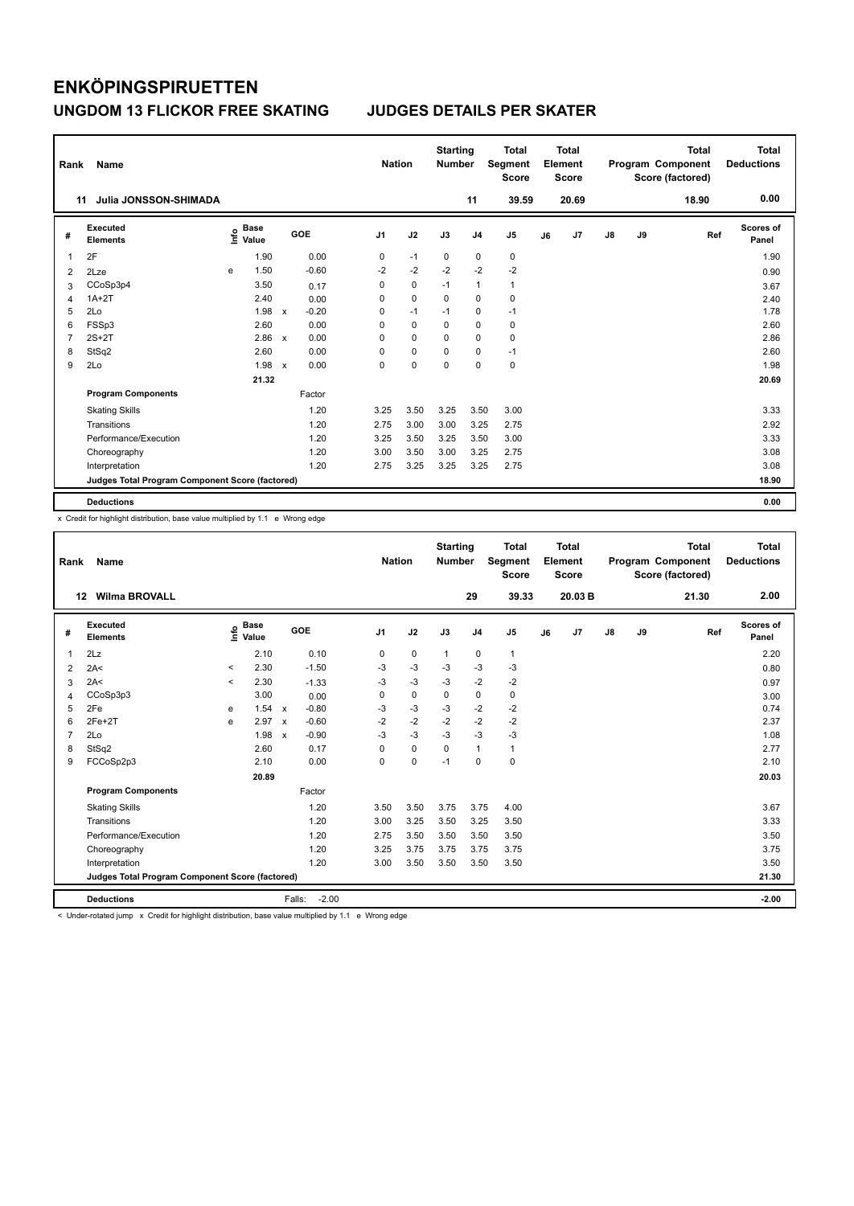| Rank           | Name                                            |   |                                  |                           |            |                | <b>Nation</b> |             | <b>Starting</b><br><b>Number</b> |                | <b>Total</b><br>Segment<br><b>Score</b> |    | <b>Total</b><br>Element<br><b>Score</b> |    |    | <b>Total</b><br>Program Component<br>Score (factored) | <b>Total</b><br><b>Deductions</b> |
|----------------|-------------------------------------------------|---|----------------------------------|---------------------------|------------|----------------|---------------|-------------|----------------------------------|----------------|-----------------------------------------|----|-----------------------------------------|----|----|-------------------------------------------------------|-----------------------------------|
| 11             | Julia JONSSON-SHIMADA                           |   |                                  |                           |            |                |               |             |                                  | 11             | 39.59                                   |    | 20.69                                   |    |    | 18.90                                                 | 0.00                              |
| #              | Executed<br><b>Elements</b>                     |   | <b>Base</b><br>e Base<br>⊆ Value |                           | <b>GOE</b> | J <sub>1</sub> | J2            |             | J3                               | J <sub>4</sub> | J <sub>5</sub>                          | J6 | J7                                      | J8 | J9 | Ref                                                   | <b>Scores of</b><br>Panel         |
| 1              | 2F                                              |   | 1.90                             |                           | 0.00       | 0              | $-1$          |             | 0                                | 0              | 0                                       |    |                                         |    |    |                                                       | 1.90                              |
| 2              | 2Lze                                            | e | 1.50                             |                           | $-0.60$    | $-2$           |               | $-2$        | $-2$                             | $-2$           | $-2$                                    |    |                                         |    |    |                                                       | 0.90                              |
| 3              | CCoSp3p4                                        |   | 3.50                             |                           | 0.17       | 0              |               | 0           | $-1$                             | $\mathbf{1}$   | $\mathbf{1}$                            |    |                                         |    |    |                                                       | 3.67                              |
| 4              | $1A+2T$                                         |   | 2.40                             |                           | 0.00       | 0              | $\mathbf 0$   |             | 0                                | 0              | 0                                       |    |                                         |    |    |                                                       | 2.40                              |
| 5              | 2Lo                                             |   | 1.98                             | $\mathsf{x}$              | $-0.20$    | 0              | $-1$          |             | $-1$                             | 0              | $-1$                                    |    |                                         |    |    |                                                       | 1.78                              |
| 6              | FSSp3                                           |   | 2.60                             |                           | 0.00       | 0              |               | $\pmb{0}$   | 0                                | $\pmb{0}$      | 0                                       |    |                                         |    |    |                                                       | 2.60                              |
| $\overline{7}$ | $2S+2T$                                         |   | 2.86                             | $\mathbf{x}$              | 0.00       | 0              |               | 0           | 0                                | 0              | 0                                       |    |                                         |    |    |                                                       | 2.86                              |
| 8              | StSq2                                           |   | 2.60                             |                           | 0.00       | 0              |               | $\mathbf 0$ | 0                                | $\mathbf 0$    | $-1$                                    |    |                                         |    |    |                                                       | 2.60                              |
| 9              | 2Lo                                             |   | 1.98                             | $\boldsymbol{\mathsf{x}}$ | 0.00       | 0              |               | 0           | 0                                | $\mathbf 0$    | $\pmb{0}$                               |    |                                         |    |    |                                                       | 1.98                              |
|                |                                                 |   | 21.32                            |                           |            |                |               |             |                                  |                |                                         |    |                                         |    |    |                                                       | 20.69                             |
|                | <b>Program Components</b>                       |   |                                  |                           | Factor     |                |               |             |                                  |                |                                         |    |                                         |    |    |                                                       |                                   |
|                | <b>Skating Skills</b>                           |   |                                  |                           | 1.20       | 3.25           |               | 3.50        | 3.25                             | 3.50           | 3.00                                    |    |                                         |    |    |                                                       | 3.33                              |
|                | Transitions                                     |   |                                  |                           | 1.20       | 2.75           |               | 3.00        | 3.00                             | 3.25           | 2.75                                    |    |                                         |    |    |                                                       | 2.92                              |
|                | Performance/Execution                           |   |                                  |                           | 1.20       | 3.25           |               | 3.50        | 3.25                             | 3.50           | 3.00                                    |    |                                         |    |    |                                                       | 3.33                              |
|                | Choreography                                    |   |                                  |                           | 1.20       | 3.00           |               | 3.50        | 3.00                             | 3.25           | 2.75                                    |    |                                         |    |    |                                                       | 3.08                              |
|                | Interpretation                                  |   |                                  |                           | 1.20       | 2.75           |               | 3.25        | 3.25                             | 3.25           | 2.75                                    |    |                                         |    |    |                                                       | 3.08                              |
|                | Judges Total Program Component Score (factored) |   |                                  |                           |            |                |               |             |                                  |                |                                         |    |                                         |    |    |                                                       | 18.90                             |
|                | <b>Deductions</b>                               |   |                                  |                           |            |                |               |             |                                  |                |                                         |    |                                         |    |    |                                                       | 0.00                              |

x Credit for highlight distribution, base value multiplied by 1.1 e Wrong edge

| Rank           | <b>Name</b>                                     |         |                                  |                           |                   | <b>Nation</b>  |             | <b>Starting</b><br><b>Number</b> |                | <b>Total</b><br><b>Segment</b><br><b>Score</b> |    | Total<br>Element<br><b>Score</b> |               |    | <b>Total</b><br>Program Component<br>Score (factored) | Total<br><b>Deductions</b> |
|----------------|-------------------------------------------------|---------|----------------------------------|---------------------------|-------------------|----------------|-------------|----------------------------------|----------------|------------------------------------------------|----|----------------------------------|---------------|----|-------------------------------------------------------|----------------------------|
|                | <b>Wilma BROVALL</b><br>12                      |         |                                  |                           |                   |                |             |                                  | 29             | 39.33                                          |    | 20.03 B                          |               |    | 21.30                                                 | 2.00                       |
| #              | Executed<br><b>Elements</b>                     |         | <b>Base</b><br>e Base<br>E Value |                           | GOE               | J <sub>1</sub> | J2          | J3                               | J <sub>4</sub> | J <sub>5</sub>                                 | J6 | J7                               | $\mathsf{J}8$ | J9 | Ref                                                   | <b>Scores of</b><br>Panel  |
| $\overline{1}$ | 2Lz                                             |         | 2.10                             |                           | 0.10              | 0              | $\mathbf 0$ | $\mathbf{1}$                     | $\mathbf 0$    | $\mathbf{1}$                                   |    |                                  |               |    |                                                       | 2.20                       |
| 2              | 2A<                                             | $\prec$ | 2.30                             |                           | $-1.50$           | $-3$           | $-3$        | $-3$                             | $-3$           | $-3$                                           |    |                                  |               |    |                                                       | 0.80                       |
| 3              | 2A<                                             | $\prec$ | 2.30                             |                           | $-1.33$           | $-3$           | $-3$        | $-3$                             | $-2$           | $-2$                                           |    |                                  |               |    |                                                       | 0.97                       |
| 4              | CCoSp3p3                                        |         | 3.00                             |                           | 0.00              | $\Omega$       | $\mathbf 0$ | $\Omega$                         | $\mathbf 0$    | $\mathbf 0$                                    |    |                                  |               |    |                                                       | 3.00                       |
| 5              | 2Fe                                             | e       | 1.54                             | $\mathsf{x}$              | $-0.80$           | $-3$           | $-3$        | $-3$                             | $-2$           | $-2$                                           |    |                                  |               |    |                                                       | 0.74                       |
| 6              | $2Fe+2T$                                        | e       | 2.97                             | $\mathsf{x}$              | $-0.60$           | $-2$           | $-2$        | $-2$                             | $-2$           | $-2$                                           |    |                                  |               |    |                                                       | 2.37                       |
| $\overline{7}$ | 2Lo                                             |         | 1.98                             | $\boldsymbol{\mathsf{x}}$ | $-0.90$           | $-3$           | $-3$        | $-3$                             | $-3$           | $-3$                                           |    |                                  |               |    |                                                       | 1.08                       |
| 8              | StSq2                                           |         | 2.60                             |                           | 0.17              | $\Omega$       | $\mathbf 0$ | $\mathbf 0$                      | $\mathbf{1}$   | $\mathbf{1}$                                   |    |                                  |               |    |                                                       | 2.77                       |
| 9              | FCCoSp2p3                                       |         | 2.10                             |                           | 0.00              | 0              | $\mathbf 0$ | $-1$                             | $\mathbf 0$    | $\mathbf 0$                                    |    |                                  |               |    |                                                       | 2.10                       |
|                |                                                 |         | 20.89                            |                           |                   |                |             |                                  |                |                                                |    |                                  |               |    |                                                       | 20.03                      |
|                | <b>Program Components</b>                       |         |                                  |                           | Factor            |                |             |                                  |                |                                                |    |                                  |               |    |                                                       |                            |
|                | <b>Skating Skills</b>                           |         |                                  |                           | 1.20              | 3.50           | 3.50        | 3.75                             | 3.75           | 4.00                                           |    |                                  |               |    |                                                       | 3.67                       |
|                | Transitions                                     |         |                                  |                           | 1.20              | 3.00           | 3.25        | 3.50                             | 3.25           | 3.50                                           |    |                                  |               |    |                                                       | 3.33                       |
|                | Performance/Execution                           |         |                                  |                           | 1.20              | 2.75           | 3.50        | 3.50                             | 3.50           | 3.50                                           |    |                                  |               |    |                                                       | 3.50                       |
|                | Choreography                                    |         |                                  |                           | 1.20              | 3.25           | 3.75        | 3.75                             | 3.75           | 3.75                                           |    |                                  |               |    |                                                       | 3.75                       |
|                | Interpretation                                  |         |                                  |                           | 1.20              | 3.00           | 3.50        | 3.50                             | 3.50           | 3.50                                           |    |                                  |               |    |                                                       | 3.50                       |
|                | Judges Total Program Component Score (factored) |         |                                  |                           |                   |                |             |                                  |                |                                                |    |                                  |               |    |                                                       | 21.30                      |
|                | <b>Deductions</b>                               |         |                                  |                           | $-2.00$<br>Falls: |                |             |                                  |                |                                                |    |                                  |               |    |                                                       | $-2.00$                    |

< Under-rotated jump x Credit for highlight distribution, base value multiplied by 1.1 e Wrong edge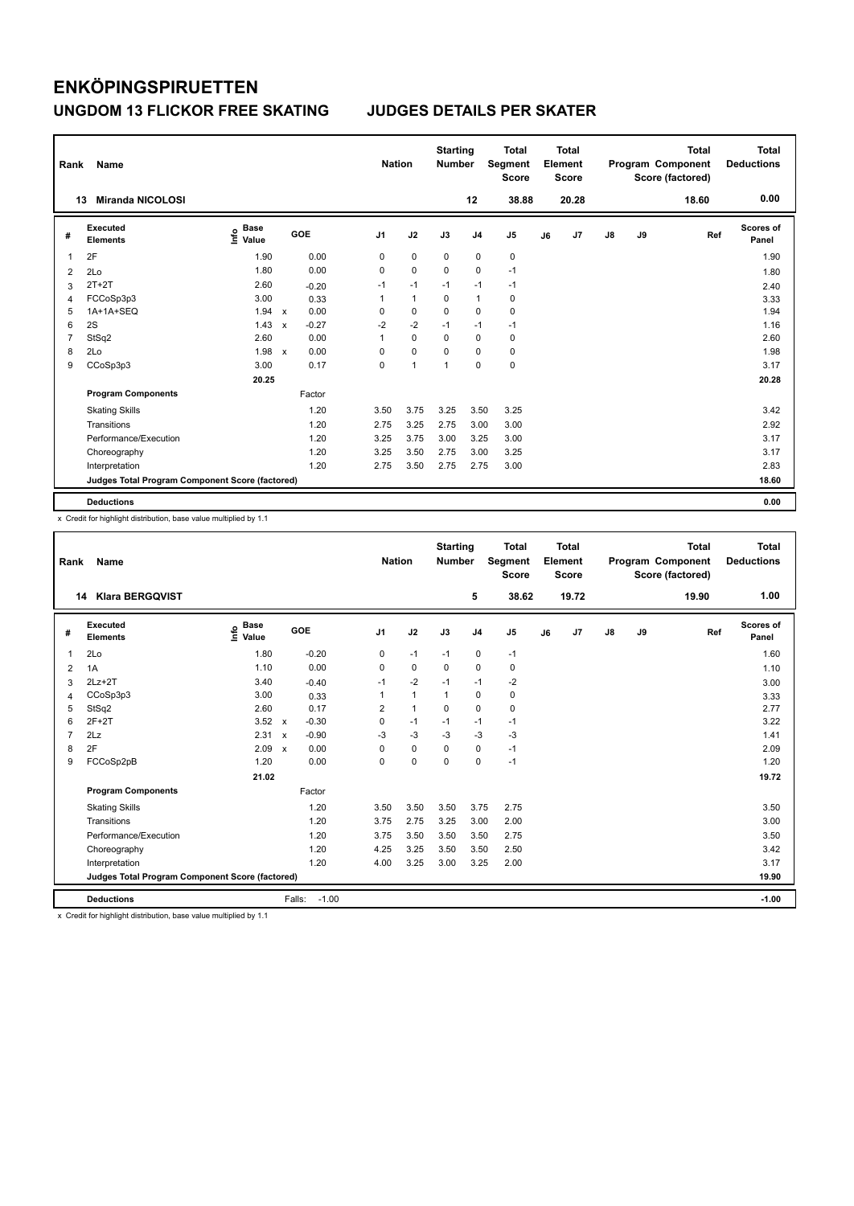| Rank | Name                                            |                                  |              |         |                | <b>Nation</b> | <b>Starting</b><br>Number |                | <b>Total</b><br>Segment<br><b>Score</b> |    | <b>Total</b><br>Element<br><b>Score</b> |               |    | <b>Total</b><br>Program Component<br>Score (factored) | <b>Total</b><br><b>Deductions</b> |
|------|-------------------------------------------------|----------------------------------|--------------|---------|----------------|---------------|---------------------------|----------------|-----------------------------------------|----|-----------------------------------------|---------------|----|-------------------------------------------------------|-----------------------------------|
|      | <b>Miranda NICOLOSI</b><br>13                   |                                  |              |         |                |               |                           | 12             | 38.88                                   |    | 20.28                                   |               |    | 18.60                                                 | 0.00                              |
| #    | <b>Executed</b><br><b>Elements</b>              | <b>Base</b><br>e Base<br>⊆ Value |              | GOE     | J <sub>1</sub> | J2            | J3                        | J <sub>4</sub> | J <sub>5</sub>                          | J6 | J7                                      | $\mathsf{J}8$ | J9 | Ref                                                   | <b>Scores of</b><br>Panel         |
| 1    | 2F                                              | 1.90                             |              | 0.00    | 0              | $\mathbf 0$   | $\mathbf 0$               | $\mathbf 0$    | $\pmb{0}$                               |    |                                         |               |    |                                                       | 1.90                              |
| 2    | 2Lo                                             | 1.80                             |              | 0.00    | 0              | $\mathbf 0$   | 0                         | 0              | $-1$                                    |    |                                         |               |    |                                                       | 1.80                              |
| 3    | $2T+2T$                                         | 2.60                             |              | $-0.20$ | $-1$           | $-1$          | $-1$                      | $-1$           | $-1$                                    |    |                                         |               |    |                                                       | 2.40                              |
| 4    | FCCoSp3p3                                       | 3.00                             |              | 0.33    | 1              | $\mathbf{1}$  | 0                         | $\mathbf{1}$   | 0                                       |    |                                         |               |    |                                                       | 3.33                              |
| 5    | 1A+1A+SEQ                                       | 1.94                             | $\mathbf{x}$ | 0.00    | 0              | $\pmb{0}$     | $\Omega$                  | 0              | $\pmb{0}$                               |    |                                         |               |    |                                                       | 1.94                              |
| 6    | 2S                                              | 1.43                             | $\mathsf{x}$ | $-0.27$ | $-2$           | $-2$          | $-1$                      | $-1$           | $-1$                                    |    |                                         |               |    |                                                       | 1.16                              |
| 7    | StSq2                                           | 2.60                             |              | 0.00    | 1              | 0             | 0                         | 0              | 0                                       |    |                                         |               |    |                                                       | 2.60                              |
| 8    | 2Lo                                             | 1.98                             | $\mathsf{x}$ | 0.00    | 0              | $\mathbf 0$   | 0                         | 0              | 0                                       |    |                                         |               |    |                                                       | 1.98                              |
| 9    | CCoSp3p3                                        | 3.00                             |              | 0.17    | 0              | 1             | 1                         | $\Omega$       | $\mathbf 0$                             |    |                                         |               |    |                                                       | 3.17                              |
|      |                                                 | 20.25                            |              |         |                |               |                           |                |                                         |    |                                         |               |    |                                                       | 20.28                             |
|      | <b>Program Components</b>                       |                                  |              | Factor  |                |               |                           |                |                                         |    |                                         |               |    |                                                       |                                   |
|      | <b>Skating Skills</b>                           |                                  |              | 1.20    | 3.50           | 3.75          | 3.25                      | 3.50           | 3.25                                    |    |                                         |               |    |                                                       | 3.42                              |
|      | Transitions                                     |                                  |              | 1.20    | 2.75           | 3.25          | 2.75                      | 3.00           | 3.00                                    |    |                                         |               |    |                                                       | 2.92                              |
|      | Performance/Execution                           |                                  |              | 1.20    | 3.25           | 3.75          | 3.00                      | 3.25           | 3.00                                    |    |                                         |               |    |                                                       | 3.17                              |
|      | Choreography                                    |                                  |              | 1.20    | 3.25           | 3.50          | 2.75                      | 3.00           | 3.25                                    |    |                                         |               |    |                                                       | 3.17                              |
|      | Interpretation                                  |                                  |              | 1.20    | 2.75           | 3.50          | 2.75                      | 2.75           | 3.00                                    |    |                                         |               |    |                                                       | 2.83                              |
|      | Judges Total Program Component Score (factored) |                                  |              |         |                |               |                           |                |                                         |    |                                         |               |    |                                                       | 18.60                             |
|      | <b>Deductions</b>                               |                                  |              |         |                |               |                           |                |                                         |    |                                         |               |    |                                                       | 0.00                              |

x Credit for highlight distribution, base value multiplied by 1.1

| Rank           | Name                                            |                                  |                           |         | <b>Nation</b>  |              | <b>Starting</b><br><b>Number</b> |                | <b>Total</b><br>Segment<br><b>Score</b> |    | <b>Total</b><br>Element<br><b>Score</b> |               |    | <b>Total</b><br>Program Component<br>Score (factored) | <b>Total</b><br><b>Deductions</b> |
|----------------|-------------------------------------------------|----------------------------------|---------------------------|---------|----------------|--------------|----------------------------------|----------------|-----------------------------------------|----|-----------------------------------------|---------------|----|-------------------------------------------------------|-----------------------------------|
|                | <b>Klara BERGQVIST</b><br>14                    |                                  |                           |         |                |              |                                  | 5              | 38.62                                   |    | 19.72                                   |               |    | 19.90                                                 | 1.00                              |
| #              | Executed<br><b>Elements</b>                     | <b>Base</b><br>e Base<br>⊆ Value | GOE                       |         | J <sub>1</sub> | J2           | J3                               | J <sub>4</sub> | J <sub>5</sub>                          | J6 | J7                                      | $\mathsf{J}8$ | J9 | Ref                                                   | <b>Scores of</b><br>Panel         |
| 1              | 2Lo                                             | 1.80                             |                           | $-0.20$ | 0              | $-1$         | $-1$                             | $\mathbf 0$    | $-1$                                    |    |                                         |               |    |                                                       | 1.60                              |
| $\overline{2}$ | 1A                                              | 1.10                             |                           | 0.00    | 0              | 0            | 0                                | $\mathbf 0$    | 0                                       |    |                                         |               |    |                                                       | 1.10                              |
| 3              | $2Lz+2T$                                        | 3.40                             |                           | $-0.40$ | $-1$           | $-2$         | $-1$                             | $-1$           | $-2$                                    |    |                                         |               |    |                                                       | 3.00                              |
| 4              | CCoSp3p3                                        | 3.00                             |                           | 0.33    | 1              | $\mathbf{1}$ | $\mathbf{1}$                     | 0              | 0                                       |    |                                         |               |    |                                                       | 3.33                              |
| 5              | StSq2                                           | 2.60                             |                           | 0.17    | $\overline{2}$ | $\mathbf{1}$ | $\mathbf 0$                      | 0              | $\mathbf 0$                             |    |                                         |               |    |                                                       | 2.77                              |
| 6              | $2F+2T$                                         | 3.52                             | $\mathsf{x}$              | $-0.30$ | 0              | $-1$         | $-1$                             | $-1$           | $-1$                                    |    |                                         |               |    |                                                       | 3.22                              |
| $\overline{7}$ | 2Lz                                             | 2.31                             | X                         | $-0.90$ | $-3$           | $-3$         | $-3$                             | $-3$           | $-3$                                    |    |                                         |               |    |                                                       | 1.41                              |
| 8              | 2F                                              | 2.09                             | $\boldsymbol{\mathsf{x}}$ | 0.00    | 0              | $\mathbf 0$  | 0                                | 0              | $-1$                                    |    |                                         |               |    |                                                       | 2.09                              |
| 9              | FCCoSp2pB                                       | 1.20                             |                           | 0.00    | 0              | $\mathbf 0$  | $\Omega$                         | 0              | $-1$                                    |    |                                         |               |    |                                                       | 1.20                              |
|                |                                                 | 21.02                            |                           |         |                |              |                                  |                |                                         |    |                                         |               |    |                                                       | 19.72                             |
|                | <b>Program Components</b>                       |                                  |                           | Factor  |                |              |                                  |                |                                         |    |                                         |               |    |                                                       |                                   |
|                | <b>Skating Skills</b>                           |                                  |                           | 1.20    | 3.50           | 3.50         | 3.50                             | 3.75           | 2.75                                    |    |                                         |               |    |                                                       | 3.50                              |
|                | Transitions                                     |                                  |                           | 1.20    | 3.75           | 2.75         | 3.25                             | 3.00           | 2.00                                    |    |                                         |               |    |                                                       | 3.00                              |
|                | Performance/Execution                           |                                  |                           | 1.20    | 3.75           | 3.50         | 3.50                             | 3.50           | 2.75                                    |    |                                         |               |    |                                                       | 3.50                              |
|                | Choreography                                    |                                  |                           | 1.20    | 4.25           | 3.25         | 3.50                             | 3.50           | 2.50                                    |    |                                         |               |    |                                                       | 3.42                              |
|                | Interpretation                                  |                                  |                           | 1.20    | 4.00           | 3.25         | 3.00                             | 3.25           | 2.00                                    |    |                                         |               |    |                                                       | 3.17                              |
|                | Judges Total Program Component Score (factored) |                                  |                           |         |                |              |                                  |                |                                         |    |                                         |               |    |                                                       | 19.90                             |
|                | <b>Deductions</b>                               |                                  | Falls:                    | $-1.00$ |                |              |                                  |                |                                         |    |                                         |               |    |                                                       | $-1.00$                           |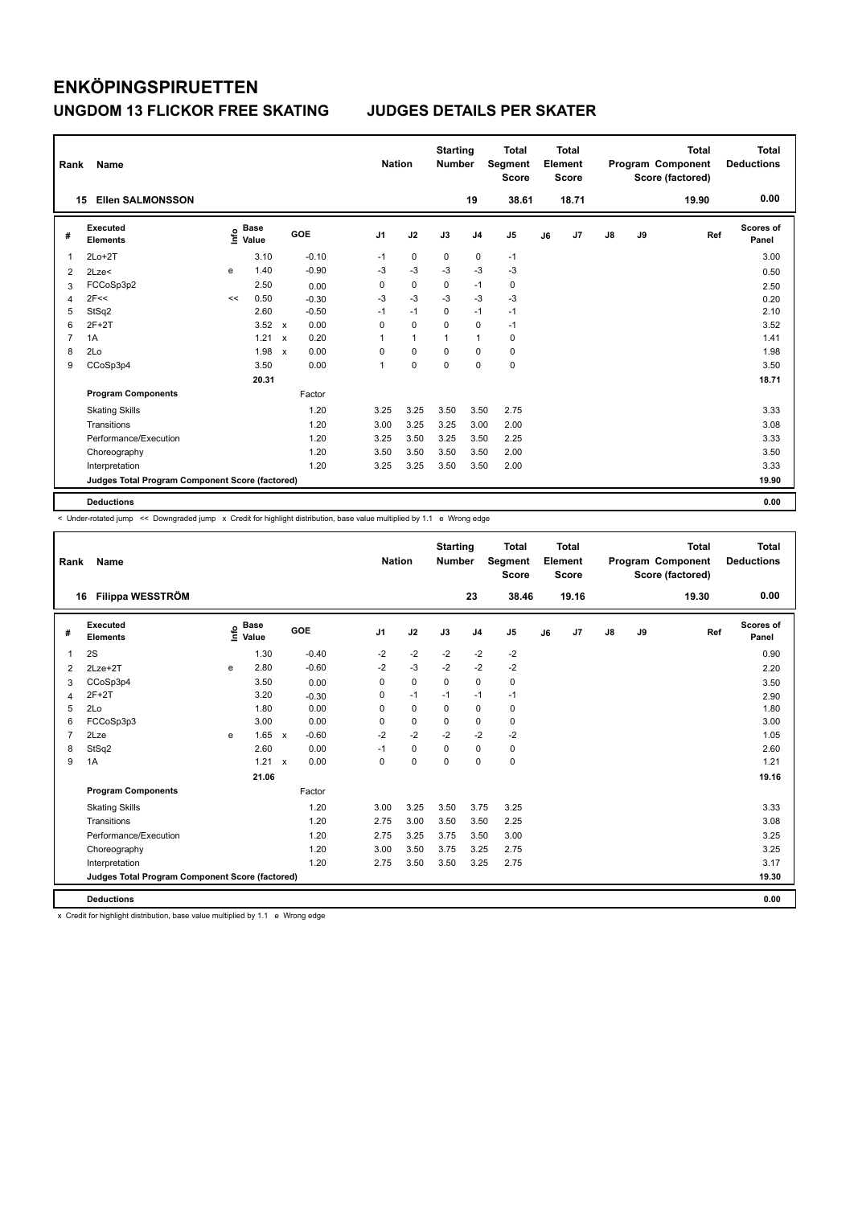| Rank           | Name                                            |      |                      |                           |         |                | <b>Nation</b> | <b>Starting</b><br><b>Number</b> |                | <b>Total</b><br>Segment<br><b>Score</b> |    | <b>Total</b><br>Element<br><b>Score</b> |    |    | <b>Total</b><br>Program Component<br>Score (factored) | <b>Total</b><br><b>Deductions</b> |
|----------------|-------------------------------------------------|------|----------------------|---------------------------|---------|----------------|---------------|----------------------------------|----------------|-----------------------------------------|----|-----------------------------------------|----|----|-------------------------------------------------------|-----------------------------------|
|                | <b>Ellen SALMONSSON</b><br>15                   |      |                      |                           |         |                |               |                                  | 19             | 38.61                                   |    | 18.71                                   |    |    | 19.90                                                 | 0.00                              |
| #              | Executed<br><b>Elements</b>                     | lnfo | <b>Base</b><br>Value |                           | GOE     | J <sub>1</sub> | J2            | J3                               | J <sub>4</sub> | J <sub>5</sub>                          | J6 | J7                                      | J8 | J9 | Ref                                                   | <b>Scores of</b><br>Panel         |
| 1              | $2Lo+2T$                                        |      | 3.10                 |                           | $-0.10$ | $-1$           | 0             | 0                                | 0              | $-1$                                    |    |                                         |    |    |                                                       | 3.00                              |
| 2              | 2Lze<                                           | e    | 1.40                 |                           | $-0.90$ | $-3$           | $-3$          | $-3$                             | $-3$           | $-3$                                    |    |                                         |    |    |                                                       | 0.50                              |
| 3              | FCCoSp3p2                                       |      | 2.50                 |                           | 0.00    | 0              | $\pmb{0}$     | 0                                | $-1$           | $\pmb{0}$                               |    |                                         |    |    |                                                       | 2.50                              |
| 4              | 2F<<                                            | <<   | 0.50                 |                           | $-0.30$ | $-3$           | $-3$          | $-3$                             | $-3$           | $-3$                                    |    |                                         |    |    |                                                       | 0.20                              |
| 5              | StSq2                                           |      | 2.60                 |                           | $-0.50$ | $-1$           | $-1$          | $\Omega$                         | $-1$           | $-1$                                    |    |                                         |    |    |                                                       | 2.10                              |
| 6              | $2F+2T$                                         |      | 3.52                 | $\mathsf{x}$              | 0.00    | 0              | $\mathbf 0$   | $\Omega$                         | $\mathbf 0$    | $-1$                                    |    |                                         |    |    |                                                       | 3.52                              |
| $\overline{7}$ | 1A                                              |      | 1.21                 | $\boldsymbol{\mathsf{x}}$ | 0.20    | 1              | $\mathbf{1}$  | 1                                | $\overline{1}$ | 0                                       |    |                                         |    |    |                                                       | 1.41                              |
| 8              | 2Lo                                             |      | 1.98                 | $\boldsymbol{\mathsf{x}}$ | 0.00    | 0              | $\mathbf 0$   | $\Omega$                         | $\mathbf 0$    | 0                                       |    |                                         |    |    |                                                       | 1.98                              |
| 9              | CCoSp3p4                                        |      | 3.50                 |                           | 0.00    | 1              | 0             | 0                                | $\mathbf 0$    | $\mathbf 0$                             |    |                                         |    |    |                                                       | 3.50                              |
|                |                                                 |      | 20.31                |                           |         |                |               |                                  |                |                                         |    |                                         |    |    |                                                       | 18.71                             |
|                | <b>Program Components</b>                       |      |                      |                           | Factor  |                |               |                                  |                |                                         |    |                                         |    |    |                                                       |                                   |
|                | <b>Skating Skills</b>                           |      |                      |                           | 1.20    | 3.25           | 3.25          | 3.50                             | 3.50           | 2.75                                    |    |                                         |    |    |                                                       | 3.33                              |
|                | Transitions                                     |      |                      |                           | 1.20    | 3.00           | 3.25          | 3.25                             | 3.00           | 2.00                                    |    |                                         |    |    |                                                       | 3.08                              |
|                | Performance/Execution                           |      |                      |                           | 1.20    | 3.25           | 3.50          | 3.25                             | 3.50           | 2.25                                    |    |                                         |    |    |                                                       | 3.33                              |
|                | Choreography                                    |      |                      |                           | 1.20    | 3.50           | 3.50          | 3.50                             | 3.50           | 2.00                                    |    |                                         |    |    |                                                       | 3.50                              |
|                | Interpretation                                  |      |                      |                           | 1.20    | 3.25           | 3.25          | 3.50                             | 3.50           | 2.00                                    |    |                                         |    |    |                                                       | 3.33                              |
|                | Judges Total Program Component Score (factored) |      |                      |                           |         |                |               |                                  |                |                                         |    |                                         |    |    |                                                       | 19.90                             |
|                | <b>Deductions</b>                               |      |                      |                           |         |                |               |                                  |                |                                         |    |                                         |    |    |                                                       | 0.00                              |

< Under-rotated jump << Downgraded jump x Credit for highlight distribution, base value multiplied by 1.1 e Wrong edge

| Rank           | Name                                            |      |                      |                           |         |                | <b>Nation</b> | <b>Starting</b><br><b>Number</b> |                | <b>Total</b><br>Segment<br><b>Score</b> |    | Total<br>Element<br><b>Score</b> |               |    | <b>Total</b><br>Program Component<br>Score (factored) | Total<br><b>Deductions</b> |
|----------------|-------------------------------------------------|------|----------------------|---------------------------|---------|----------------|---------------|----------------------------------|----------------|-----------------------------------------|----|----------------------------------|---------------|----|-------------------------------------------------------|----------------------------|
|                | Filippa WESSTRÖM<br>16                          |      |                      |                           |         |                |               |                                  | 23             | 38.46                                   |    | 19.16                            |               |    | 19.30                                                 | 0.00                       |
| #              | Executed<br><b>Elements</b>                     | lnfo | <b>Base</b><br>Value | GOE                       |         | J <sub>1</sub> | J2            | J3                               | J <sub>4</sub> | J <sub>5</sub>                          | J6 | J7                               | $\mathsf{J}8$ | J9 | Ref                                                   | <b>Scores of</b><br>Panel  |
| 1              | 2S                                              |      | 1.30                 |                           | $-0.40$ | $-2$           | $-2$          | $-2$                             | $-2$           | $-2$                                    |    |                                  |               |    |                                                       | 0.90                       |
| $\overline{2}$ | $2Lze+2T$                                       | e    | 2.80                 |                           | $-0.60$ | $-2$           | $-3$          | $-2$                             | $-2$           | $-2$                                    |    |                                  |               |    |                                                       | 2.20                       |
| 3              | CCoSp3p4                                        |      | 3.50                 |                           | 0.00    | 0              | $\mathbf 0$   | $\mathbf 0$                      | $\mathbf 0$    | 0                                       |    |                                  |               |    |                                                       | 3.50                       |
| 4              | $2F+2T$                                         |      | 3.20                 |                           | $-0.30$ | 0              | $-1$          | $-1$                             | $-1$           | $-1$                                    |    |                                  |               |    |                                                       | 2.90                       |
| 5              | 2Lo                                             |      | 1.80                 |                           | 0.00    | 0              | 0             | 0                                | 0              | 0                                       |    |                                  |               |    |                                                       | 1.80                       |
| 6              | FCCoSp3p3                                       |      | 3.00                 |                           | 0.00    | 0              | $\mathbf 0$   | $\Omega$                         | $\mathbf 0$    | $\mathbf 0$                             |    |                                  |               |    |                                                       | 3.00                       |
| $\overline{7}$ | 2Lze                                            | e    | 1.65                 | $\mathbf{x}$              | $-0.60$ | $-2$           | $-2$          | $-2$                             | $-2$           | $-2$                                    |    |                                  |               |    |                                                       | 1.05                       |
| 8              | StSq2                                           |      | 2.60                 |                           | 0.00    | $-1$           | $\mathbf 0$   | $\mathbf 0$                      | $\mathbf 0$    | 0                                       |    |                                  |               |    |                                                       | 2.60                       |
| 9              | 1A                                              |      | 1.21                 | $\boldsymbol{\mathsf{x}}$ | 0.00    | 0              | $\mathbf 0$   | 0                                | $\mathbf 0$    | $\mathbf 0$                             |    |                                  |               |    |                                                       | 1.21                       |
|                |                                                 |      | 21.06                |                           |         |                |               |                                  |                |                                         |    |                                  |               |    |                                                       | 19.16                      |
|                | <b>Program Components</b>                       |      |                      |                           | Factor  |                |               |                                  |                |                                         |    |                                  |               |    |                                                       |                            |
|                | <b>Skating Skills</b>                           |      |                      |                           | 1.20    | 3.00           | 3.25          | 3.50                             | 3.75           | 3.25                                    |    |                                  |               |    |                                                       | 3.33                       |
|                | Transitions                                     |      |                      |                           | 1.20    | 2.75           | 3.00          | 3.50                             | 3.50           | 2.25                                    |    |                                  |               |    |                                                       | 3.08                       |
|                | Performance/Execution                           |      |                      |                           | 1.20    | 2.75           | 3.25          | 3.75                             | 3.50           | 3.00                                    |    |                                  |               |    |                                                       | 3.25                       |
|                | Choreography                                    |      |                      |                           | 1.20    | 3.00           | 3.50          | 3.75                             | 3.25           | 2.75                                    |    |                                  |               |    |                                                       | 3.25                       |
|                | Interpretation                                  |      |                      |                           | 1.20    | 2.75           | 3.50          | 3.50                             | 3.25           | 2.75                                    |    |                                  |               |    |                                                       | 3.17                       |
|                | Judges Total Program Component Score (factored) |      |                      |                           |         |                |               |                                  |                |                                         |    |                                  |               |    |                                                       | 19.30                      |
|                | <b>Deductions</b>                               |      |                      |                           |         |                |               |                                  |                |                                         |    |                                  |               |    |                                                       | 0.00                       |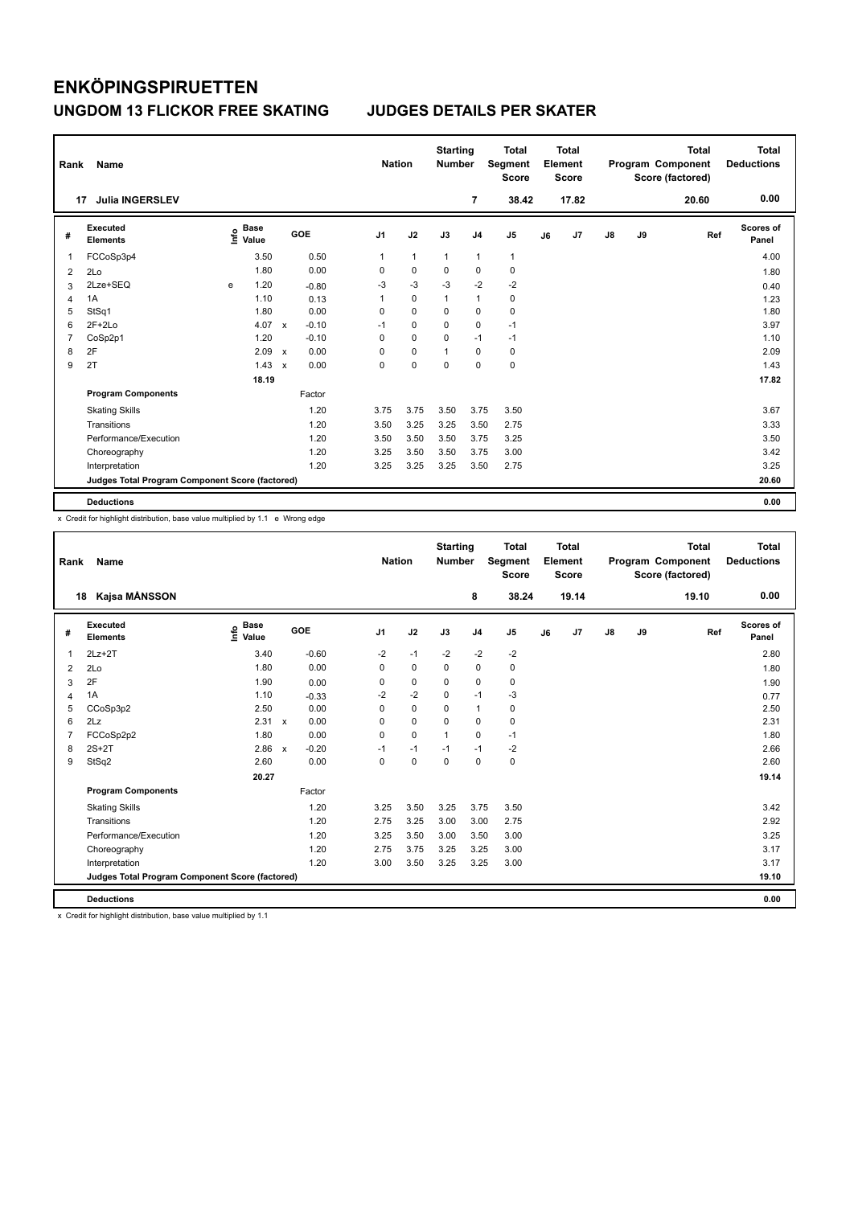| Rank           | Name                                            |      |                      |                           |         |                | <b>Nation</b> | <b>Starting</b><br><b>Number</b> |                | <b>Total</b><br>Segment<br><b>Score</b> |    | <b>Total</b><br>Element<br>Score |               |    | <b>Total</b><br>Program Component<br>Score (factored) | <b>Total</b><br><b>Deductions</b> |
|----------------|-------------------------------------------------|------|----------------------|---------------------------|---------|----------------|---------------|----------------------------------|----------------|-----------------------------------------|----|----------------------------------|---------------|----|-------------------------------------------------------|-----------------------------------|
|                | <b>Julia INGERSLEV</b><br>17                    |      |                      |                           |         |                |               |                                  | 7              | 38.42                                   |    | 17.82                            |               |    | 20.60                                                 | 0.00                              |
| #              | Executed<br><b>Elements</b>                     | lnfo | <b>Base</b><br>Value |                           | GOE     | J <sub>1</sub> | J2            | J3                               | J <sub>4</sub> | J <sub>5</sub>                          | J6 | J <sub>7</sub>                   | $\mathsf{J}8$ | J9 | Ref                                                   | Scores of<br>Panel                |
| 1              | FCCoSp3p4                                       |      | 3.50                 |                           | 0.50    | 1              | $\mathbf{1}$  | $\mathbf{1}$                     | $\mathbf{1}$   | $\mathbf{1}$                            |    |                                  |               |    |                                                       | 4.00                              |
| 2              | 2Lo                                             |      | 1.80                 |                           | 0.00    | 0              | $\mathbf 0$   | 0                                | $\mathbf 0$    | $\mathbf 0$                             |    |                                  |               |    |                                                       | 1.80                              |
| 3              | 2Lze+SEQ                                        | e    | 1.20                 |                           | $-0.80$ | -3             | $-3$          | $-3$                             | $-2$           | $-2$                                    |    |                                  |               |    |                                                       | 0.40                              |
| 4              | 1A                                              |      | 1.10                 |                           | 0.13    | 1              | $\mathbf 0$   | $\mathbf{1}$                     | $\mathbf{1}$   | 0                                       |    |                                  |               |    |                                                       | 1.23                              |
| 5              | StSq1                                           |      | 1.80                 |                           | 0.00    | 0              | $\mathbf 0$   | $\Omega$                         | 0              | 0                                       |    |                                  |               |    |                                                       | 1.80                              |
| 6              | $2F+2Lo$                                        |      | 4.07                 | $\mathsf{x}$              | $-0.10$ | $-1$           | $\mathbf 0$   | $\mathbf 0$                      | $\mathbf 0$    | $-1$                                    |    |                                  |               |    |                                                       | 3.97                              |
| $\overline{7}$ | CoSp2p1                                         |      | 1.20                 |                           | $-0.10$ | 0              | $\mathbf 0$   | $\mathbf 0$                      | $-1$           | $-1$                                    |    |                                  |               |    |                                                       | 1.10                              |
| 8              | 2F                                              |      | 2.09                 | $\boldsymbol{\mathsf{x}}$ | 0.00    | 0              | $\mathbf 0$   | 1                                | $\mathbf 0$    | 0                                       |    |                                  |               |    |                                                       | 2.09                              |
| 9              | 2T                                              |      | 1.43                 | $\boldsymbol{\mathsf{x}}$ | 0.00    | 0              | $\mathbf 0$   | 0                                | $\mathbf 0$    | $\mathbf 0$                             |    |                                  |               |    |                                                       | 1.43                              |
|                |                                                 |      | 18.19                |                           |         |                |               |                                  |                |                                         |    |                                  |               |    |                                                       | 17.82                             |
|                | <b>Program Components</b>                       |      |                      |                           | Factor  |                |               |                                  |                |                                         |    |                                  |               |    |                                                       |                                   |
|                | <b>Skating Skills</b>                           |      |                      |                           | 1.20    | 3.75           | 3.75          | 3.50                             | 3.75           | 3.50                                    |    |                                  |               |    |                                                       | 3.67                              |
|                | Transitions                                     |      |                      |                           | 1.20    | 3.50           | 3.25          | 3.25                             | 3.50           | 2.75                                    |    |                                  |               |    |                                                       | 3.33                              |
|                | Performance/Execution                           |      |                      |                           | 1.20    | 3.50           | 3.50          | 3.50                             | 3.75           | 3.25                                    |    |                                  |               |    |                                                       | 3.50                              |
|                | Choreography                                    |      |                      |                           | 1.20    | 3.25           | 3.50          | 3.50                             | 3.75           | 3.00                                    |    |                                  |               |    |                                                       | 3.42                              |
|                | Interpretation                                  |      |                      |                           | 1.20    | 3.25           | 3.25          | 3.25                             | 3.50           | 2.75                                    |    |                                  |               |    |                                                       | 3.25                              |
|                | Judges Total Program Component Score (factored) |      |                      |                           |         |                |               |                                  |                |                                         |    |                                  |               |    |                                                       | 20.60                             |
|                | <b>Deductions</b>                               |      |                      |                           |         |                |               |                                  |                |                                         |    |                                  |               |    |                                                       | 0.00                              |

x Credit for highlight distribution, base value multiplied by 1.1 e Wrong edge

| Rank           | <b>Name</b>                                     |                                  |                                      | <b>Nation</b>  |             | <b>Starting</b><br><b>Number</b> |                | <b>Total</b><br>Segment<br><b>Score</b> |    | Total<br>Element<br><b>Score</b> |            |    | <b>Total</b><br>Program Component<br>Score (factored) | <b>Total</b><br><b>Deductions</b> |
|----------------|-------------------------------------------------|----------------------------------|--------------------------------------|----------------|-------------|----------------------------------|----------------|-----------------------------------------|----|----------------------------------|------------|----|-------------------------------------------------------|-----------------------------------|
| 18             | Kajsa MÅNSSON                                   |                                  |                                      |                |             |                                  | 8              | 38.24                                   |    | 19.14                            |            |    | 19.10                                                 | 0.00                              |
| #              | Executed<br><b>Elements</b>                     | <b>Base</b><br>e Base<br>⊆ Value | GOE                                  | J <sub>1</sub> | J2          | J3                               | J <sub>4</sub> | J <sub>5</sub>                          | J6 | J7                               | ${\sf J8}$ | J9 | Ref                                                   | <b>Scores of</b><br>Panel         |
| $\mathbf 1$    | $2Lz+2T$                                        | 3.40                             | $-0.60$                              | $-2$           | $-1$        | $-2$                             | $-2$           | $-2$                                    |    |                                  |            |    |                                                       | 2.80                              |
| 2              | 2Lo                                             | 1.80                             | 0.00                                 | 0              | 0           | 0                                | 0              | 0                                       |    |                                  |            |    |                                                       | 1.80                              |
| 3              | 2F                                              | 1.90                             | 0.00                                 | 0              | $\mathbf 0$ | 0                                | $\mathbf 0$    | $\mathbf 0$                             |    |                                  |            |    |                                                       | 1.90                              |
| 4              | 1A                                              | 1.10                             | $-0.33$                              | $-2$           | $-2$        | $\mathbf 0$                      | $-1$           | $-3$                                    |    |                                  |            |    |                                                       | 0.77                              |
| 5              | CCoSp3p2                                        | 2.50                             | 0.00                                 | 0              | $\mathbf 0$ | $\mathbf 0$                      | $\mathbf{1}$   | 0                                       |    |                                  |            |    |                                                       | 2.50                              |
| 6              | 2Lz                                             | $2.31 \times$                    | 0.00                                 | $\Omega$       | $\mathbf 0$ | $\Omega$                         | $\mathbf 0$    | 0                                       |    |                                  |            |    |                                                       | 2.31                              |
| $\overline{7}$ | FCCoSp2p2                                       | 1.80                             | 0.00                                 | 0              | $\mathbf 0$ | $\mathbf{1}$                     | $\mathbf 0$    | $-1$                                    |    |                                  |            |    |                                                       | 1.80                              |
| 8              | $2S+2T$                                         | 2.86                             | $-0.20$<br>$\boldsymbol{\mathsf{x}}$ | $-1$           | $-1$        | $-1$                             | $-1$           | $-2$                                    |    |                                  |            |    |                                                       | 2.66                              |
| 9              | StSq2                                           | 2.60                             | 0.00                                 | $\Omega$       | 0           | $\Omega$                         | 0              | $\mathbf 0$                             |    |                                  |            |    |                                                       | 2.60                              |
|                |                                                 | 20.27                            |                                      |                |             |                                  |                |                                         |    |                                  |            |    |                                                       | 19.14                             |
|                | <b>Program Components</b>                       |                                  | Factor                               |                |             |                                  |                |                                         |    |                                  |            |    |                                                       |                                   |
|                | <b>Skating Skills</b>                           |                                  | 1.20                                 | 3.25           | 3.50        | 3.25                             | 3.75           | 3.50                                    |    |                                  |            |    |                                                       | 3.42                              |
|                | Transitions                                     |                                  | 1.20                                 | 2.75           | 3.25        | 3.00                             | 3.00           | 2.75                                    |    |                                  |            |    |                                                       | 2.92                              |
|                | Performance/Execution                           |                                  | 1.20                                 | 3.25           | 3.50        | 3.00                             | 3.50           | 3.00                                    |    |                                  |            |    |                                                       | 3.25                              |
|                | Choreography                                    |                                  | 1.20                                 | 2.75           | 3.75        | 3.25                             | 3.25           | 3.00                                    |    |                                  |            |    |                                                       | 3.17                              |
|                | Interpretation                                  |                                  | 1.20                                 | 3.00           | 3.50        | 3.25                             | 3.25           | 3.00                                    |    |                                  |            |    |                                                       | 3.17                              |
|                | Judges Total Program Component Score (factored) |                                  |                                      |                |             |                                  |                |                                         |    |                                  |            |    |                                                       | 19.10                             |
|                | <b>Deductions</b>                               |                                  |                                      |                |             |                                  |                |                                         |    |                                  |            |    |                                                       | 0.00                              |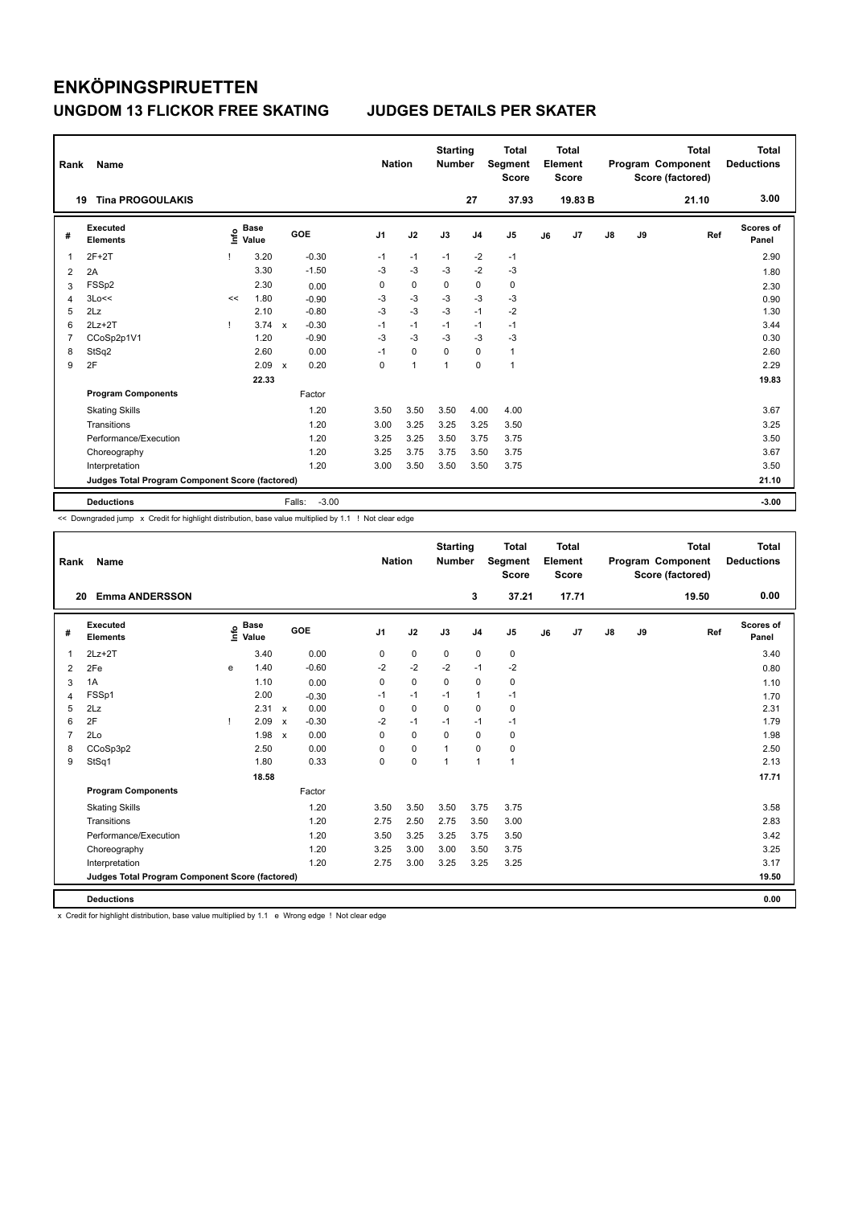| Rank           | Name                                            |    |                                  |                           |                   | <b>Nation</b>  |             | <b>Starting</b><br><b>Number</b> |                | <b>Total</b><br>Segment<br><b>Score</b> |    | <b>Total</b><br>Element<br><b>Score</b> |               |    | <b>Total</b><br>Program Component<br>Score (factored) | <b>Total</b><br><b>Deductions</b> |
|----------------|-------------------------------------------------|----|----------------------------------|---------------------------|-------------------|----------------|-------------|----------------------------------|----------------|-----------------------------------------|----|-----------------------------------------|---------------|----|-------------------------------------------------------|-----------------------------------|
|                | <b>Tina PROGOULAKIS</b><br>19                   |    |                                  |                           |                   |                |             |                                  | 27             | 37.93                                   |    | 19.83 B                                 |               |    | 21.10                                                 | 3.00                              |
| #              | <b>Executed</b><br><b>Elements</b>              |    | <b>Base</b><br>e Base<br>⊆ Value |                           | GOE               | J <sub>1</sub> | J2          | J3                               | J <sub>4</sub> | J <sub>5</sub>                          | J6 | J7                                      | $\mathsf{J}8$ | J9 | Ref                                                   | <b>Scores of</b><br>Panel         |
| 1              | $2F+2T$                                         |    | 3.20                             |                           | $-0.30$           | $-1$           | $-1$        | $-1$                             | $-2$           | $-1$                                    |    |                                         |               |    |                                                       | 2.90                              |
| 2              | 2A                                              |    | 3.30                             |                           | $-1.50$           | $-3$           | $-3$        | $-3$                             | $-2$           | $-3$                                    |    |                                         |               |    |                                                       | 1.80                              |
| 3              | FSSp2                                           |    | 2.30                             |                           | 0.00              | 0              | $\pmb{0}$   | 0                                | $\pmb{0}$      | $\pmb{0}$                               |    |                                         |               |    |                                                       | 2.30                              |
| $\overline{4}$ | 3Lo<<                                           | << | 1.80                             |                           | $-0.90$           | -3             | $-3$        | $-3$                             | $-3$           | $-3$                                    |    |                                         |               |    |                                                       | 0.90                              |
| 5              | 2Lz                                             |    | 2.10                             |                           | $-0.80$           | $-3$           | $-3$        | $-3$                             | $-1$           | $-2$                                    |    |                                         |               |    |                                                       | 1.30                              |
| 6              | $2Lz + 2T$                                      |    | 3.74                             | $\mathbf x$               | $-0.30$           | $-1$           | $-1$        | $-1$                             | $-1$           | $-1$                                    |    |                                         |               |    |                                                       | 3.44                              |
| 7              | CCoSp2p1V1                                      |    | 1.20                             |                           | $-0.90$           | $-3$           | $-3$        | -3                               | $-3$           | -3                                      |    |                                         |               |    |                                                       | 0.30                              |
| 8              | StSq2                                           |    | 2.60                             |                           | 0.00              | $-1$           | $\mathbf 0$ | 0                                | $\mathbf 0$    | $\mathbf{1}$                            |    |                                         |               |    |                                                       | 2.60                              |
| 9              | 2F                                              |    | 2.09                             | $\boldsymbol{\mathsf{x}}$ | 0.20              | 0              | 1           | 1                                | $\mathbf 0$    | $\mathbf{1}$                            |    |                                         |               |    |                                                       | 2.29                              |
|                |                                                 |    | 22.33                            |                           |                   |                |             |                                  |                |                                         |    |                                         |               |    |                                                       | 19.83                             |
|                | <b>Program Components</b>                       |    |                                  |                           | Factor            |                |             |                                  |                |                                         |    |                                         |               |    |                                                       |                                   |
|                | <b>Skating Skills</b>                           |    |                                  |                           | 1.20              | 3.50           | 3.50        | 3.50                             | 4.00           | 4.00                                    |    |                                         |               |    |                                                       | 3.67                              |
|                | Transitions                                     |    |                                  |                           | 1.20              | 3.00           | 3.25        | 3.25                             | 3.25           | 3.50                                    |    |                                         |               |    |                                                       | 3.25                              |
|                | Performance/Execution                           |    |                                  |                           | 1.20              | 3.25           | 3.25        | 3.50                             | 3.75           | 3.75                                    |    |                                         |               |    |                                                       | 3.50                              |
|                | Choreography                                    |    |                                  |                           | 1.20              | 3.25           | 3.75        | 3.75                             | 3.50           | 3.75                                    |    |                                         |               |    |                                                       | 3.67                              |
|                | Interpretation                                  |    |                                  |                           | 1.20              | 3.00           | 3.50        | 3.50                             | 3.50           | 3.75                                    |    |                                         |               |    |                                                       | 3.50                              |
|                | Judges Total Program Component Score (factored) |    |                                  |                           |                   |                |             |                                  |                |                                         |    |                                         |               |    |                                                       | 21.10                             |
|                | <b>Deductions</b>                               |    |                                  |                           | $-3.00$<br>Falls: |                |             |                                  |                |                                         |    |                                         |               |    |                                                       | $-3.00$                           |

<< Downgraded jump x Credit for highlight distribution, base value multiplied by 1.1 ! Not clear edge

| Rank           | <b>Name</b>                                     |   |                                  |                           |         |                | <b>Nation</b> | <b>Starting</b><br><b>Number</b> |                | <b>Total</b><br>Segment<br><b>Score</b> |    | Total<br>Element<br><b>Score</b> |    |    | <b>Total</b><br>Program Component<br>Score (factored) | <b>Total</b><br><b>Deductions</b> |
|----------------|-------------------------------------------------|---|----------------------------------|---------------------------|---------|----------------|---------------|----------------------------------|----------------|-----------------------------------------|----|----------------------------------|----|----|-------------------------------------------------------|-----------------------------------|
| 20             | <b>Emma ANDERSSON</b>                           |   |                                  |                           |         |                |               |                                  | 3              | 37.21                                   |    | 17.71                            |    |    | 19.50                                                 | 0.00                              |
| #              | Executed<br><b>Elements</b>                     |   | <b>Base</b><br>e Base<br>⊆ Value |                           | GOE     | J <sub>1</sub> | J2            | J3                               | J <sub>4</sub> | J <sub>5</sub>                          | J6 | J <sub>7</sub>                   | J8 | J9 | Ref                                                   | <b>Scores of</b><br>Panel         |
| $\mathbf 1$    | $2Lz+2T$                                        |   | 3.40                             |                           | 0.00    | 0              | $\mathbf 0$   | $\mathbf 0$                      | $\mathbf 0$    | 0                                       |    |                                  |    |    |                                                       | 3.40                              |
| 2              | 2Fe                                             | e | 1.40                             |                           | $-0.60$ | $-2$           | $-2$          | $-2$                             | $-1$           | $-2$                                    |    |                                  |    |    |                                                       | 0.80                              |
| 3              | 1A                                              |   | 1.10                             |                           | 0.00    | 0              | $\mathbf 0$   | $\mathbf 0$                      | $\mathbf 0$    | 0                                       |    |                                  |    |    |                                                       | 1.10                              |
| $\overline{4}$ | FSSp1                                           |   | 2.00                             |                           | $-0.30$ | $-1$           | $-1$          | $-1$                             | $\mathbf{1}$   | $-1$                                    |    |                                  |    |    |                                                       | 1.70                              |
| 5              | 2Lz                                             |   | 2.31                             | $\mathbf{x}$              | 0.00    | $\Omega$       | $\mathbf 0$   | $\Omega$                         | $\Omega$       | 0                                       |    |                                  |    |    |                                                       | 2.31                              |
| 6              | 2F                                              |   | 2.09                             | $\boldsymbol{\mathsf{x}}$ | $-0.30$ | $-2$           | $-1$          | $-1$                             | $-1$           | $-1$                                    |    |                                  |    |    |                                                       | 1.79                              |
| $\overline{7}$ | 2Lo                                             |   | 1.98                             | $\boldsymbol{\mathsf{x}}$ | 0.00    | $\Omega$       | $\Omega$      | $\Omega$                         | $\Omega$       | 0                                       |    |                                  |    |    |                                                       | 1.98                              |
| 8              | CCoSp3p2                                        |   | 2.50                             |                           | 0.00    | 0              | $\mathbf 0$   | $\mathbf{1}$                     | $\mathbf 0$    | 0                                       |    |                                  |    |    |                                                       | 2.50                              |
| 9              | StSq1                                           |   | 1.80                             |                           | 0.33    | 0              | $\mathbf 0$   | $\overline{1}$                   | 1              | $\mathbf{1}$                            |    |                                  |    |    |                                                       | 2.13                              |
|                |                                                 |   | 18.58                            |                           |         |                |               |                                  |                |                                         |    |                                  |    |    |                                                       | 17.71                             |
|                | <b>Program Components</b>                       |   |                                  |                           | Factor  |                |               |                                  |                |                                         |    |                                  |    |    |                                                       |                                   |
|                | <b>Skating Skills</b>                           |   |                                  |                           | 1.20    | 3.50           | 3.50          | 3.50                             | 3.75           | 3.75                                    |    |                                  |    |    |                                                       | 3.58                              |
|                | Transitions                                     |   |                                  |                           | 1.20    | 2.75           | 2.50          | 2.75                             | 3.50           | 3.00                                    |    |                                  |    |    |                                                       | 2.83                              |
|                | Performance/Execution                           |   |                                  |                           | 1.20    | 3.50           | 3.25          | 3.25                             | 3.75           | 3.50                                    |    |                                  |    |    |                                                       | 3.42                              |
|                | Choreography                                    |   |                                  |                           | 1.20    | 3.25           | 3.00          | 3.00                             | 3.50           | 3.75                                    |    |                                  |    |    |                                                       | 3.25                              |
|                | Interpretation                                  |   |                                  |                           | 1.20    | 2.75           | 3.00          | 3.25                             | 3.25           | 3.25                                    |    |                                  |    |    |                                                       | 3.17                              |
|                | Judges Total Program Component Score (factored) |   |                                  |                           |         |                |               |                                  |                |                                         |    |                                  |    |    |                                                       | 19.50                             |
|                | <b>Deductions</b>                               |   |                                  |                           |         |                |               |                                  |                |                                         |    |                                  |    |    |                                                       | 0.00                              |

x Credit for highlight distribution, base value multiplied by 1.1 e Wrong edge ! Not clear edge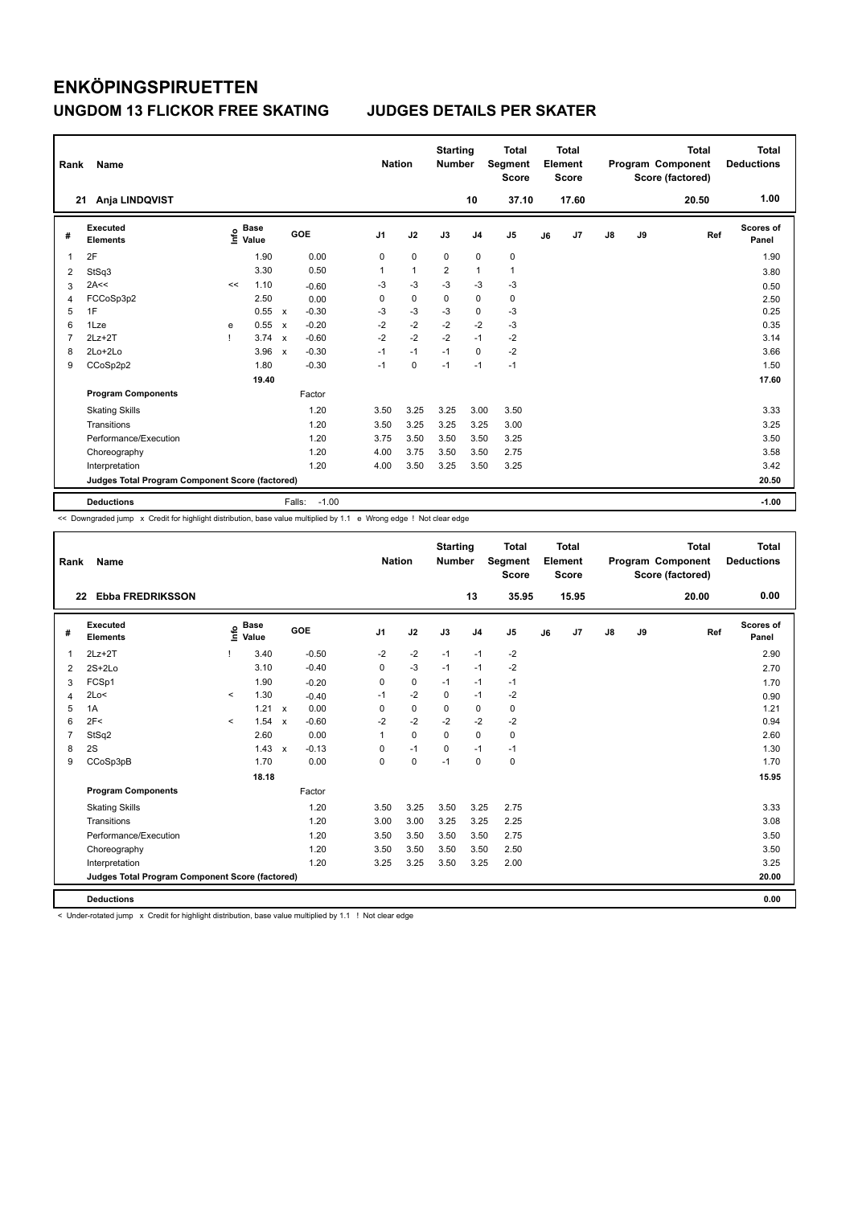| Rank           | Name                                            |      |                      |                           |                   | <b>Nation</b>  |              | <b>Starting</b><br><b>Number</b> |                | <b>Total</b><br>Segment<br><b>Score</b> |    | <b>Total</b><br>Element<br><b>Score</b> |               |    | <b>Total</b><br>Program Component<br>Score (factored) | <b>Total</b><br><b>Deductions</b> |
|----------------|-------------------------------------------------|------|----------------------|---------------------------|-------------------|----------------|--------------|----------------------------------|----------------|-----------------------------------------|----|-----------------------------------------|---------------|----|-------------------------------------------------------|-----------------------------------|
|                | Anja LINDQVIST<br>21                            |      |                      |                           |                   |                |              |                                  | 10             | 37.10                                   |    | 17.60                                   |               |    | 20.50                                                 | 1.00                              |
| #              | Executed<br><b>Elements</b>                     | lnfo | <b>Base</b><br>Value |                           | GOE               | J <sub>1</sub> | J2           | J3                               | J <sub>4</sub> | J <sub>5</sub>                          | J6 | J7                                      | $\mathsf{J}8$ | J9 | Ref                                                   | <b>Scores of</b><br>Panel         |
| 1              | 2F                                              |      | 1.90                 |                           | 0.00              | 0              | 0            | 0                                | $\pmb{0}$      | 0                                       |    |                                         |               |    |                                                       | 1.90                              |
| 2              | StSq3                                           |      | 3.30                 |                           | 0.50              | 1              | $\mathbf{1}$ | $\overline{2}$                   | $\mathbf{1}$   | $\mathbf{1}$                            |    |                                         |               |    |                                                       | 3.80                              |
| 3              | 2A<<                                            | <<   | 1.10                 |                           | $-0.60$           | -3             | $-3$         | $-3$                             | $-3$           | $-3$                                    |    |                                         |               |    |                                                       | 0.50                              |
| 4              | FCCoSp3p2                                       |      | 2.50                 |                           | 0.00              | 0              | $\mathbf 0$  | 0                                | $\mathbf 0$    | 0                                       |    |                                         |               |    |                                                       | 2.50                              |
| 5              | 1F                                              |      | 0.55                 | $\mathsf{x}$              | $-0.30$           | $-3$           | $-3$         | $-3$                             | $\mathbf 0$    | $-3$                                    |    |                                         |               |    |                                                       | 0.25                              |
| 6              | 1Lze                                            | e    | 0.55                 | $\mathsf{x}$              | $-0.20$           | $-2$           | $-2$         | $-2$                             | $-2$           | $-3$                                    |    |                                         |               |    |                                                       | 0.35                              |
| $\overline{7}$ | $2Lz+2T$                                        |      | 3.74                 | $\boldsymbol{\mathsf{x}}$ | $-0.60$           | $-2$           | $-2$         | $-2$                             | $-1$           | $-2$                                    |    |                                         |               |    |                                                       | 3.14                              |
| 8              | $2Lo+2Lo$                                       |      | 3.96                 | $\boldsymbol{\mathsf{x}}$ | $-0.30$           | $-1$           | $-1$         | $-1$                             | $\Omega$       | $-2$                                    |    |                                         |               |    |                                                       | 3.66                              |
| 9              | CCoSp2p2                                        |      | 1.80                 |                           | $-0.30$           | $-1$           | $\mathbf 0$  | $-1$                             | $-1$           | $-1$                                    |    |                                         |               |    |                                                       | 1.50                              |
|                |                                                 |      | 19.40                |                           |                   |                |              |                                  |                |                                         |    |                                         |               |    |                                                       | 17.60                             |
|                | <b>Program Components</b>                       |      |                      |                           | Factor            |                |              |                                  |                |                                         |    |                                         |               |    |                                                       |                                   |
|                | <b>Skating Skills</b>                           |      |                      |                           | 1.20              | 3.50           | 3.25         | 3.25                             | 3.00           | 3.50                                    |    |                                         |               |    |                                                       | 3.33                              |
|                | Transitions                                     |      |                      |                           | 1.20              | 3.50           | 3.25         | 3.25                             | 3.25           | 3.00                                    |    |                                         |               |    |                                                       | 3.25                              |
|                | Performance/Execution                           |      |                      |                           | 1.20              | 3.75           | 3.50         | 3.50                             | 3.50           | 3.25                                    |    |                                         |               |    |                                                       | 3.50                              |
|                | Choreography                                    |      |                      |                           | 1.20              | 4.00           | 3.75         | 3.50                             | 3.50           | 2.75                                    |    |                                         |               |    |                                                       | 3.58                              |
|                | Interpretation                                  |      |                      |                           | 1.20              | 4.00           | 3.50         | 3.25                             | 3.50           | 3.25                                    |    |                                         |               |    |                                                       | 3.42                              |
|                | Judges Total Program Component Score (factored) |      |                      |                           |                   |                |              |                                  |                |                                         |    |                                         |               |    |                                                       | 20.50                             |
|                | <b>Deductions</b>                               |      |                      |                           | $-1.00$<br>Falls: |                |              |                                  |                |                                         |    |                                         |               |    |                                                       | $-1.00$                           |

<< Downgraded jump x Credit for highlight distribution, base value multiplied by 1.1 e Wrong edge ! Not clear edge

| Rank           | Name                                            |              |                      |              |         |                | <b>Nation</b> | <b>Starting</b><br><b>Number</b> |                | <b>Total</b><br>Segment<br><b>Score</b> |    | <b>Total</b><br>Element<br><b>Score</b> |               |    | <b>Total</b><br>Program Component<br>Score (factored) | <b>Total</b><br><b>Deductions</b> |
|----------------|-------------------------------------------------|--------------|----------------------|--------------|---------|----------------|---------------|----------------------------------|----------------|-----------------------------------------|----|-----------------------------------------|---------------|----|-------------------------------------------------------|-----------------------------------|
| 22             | <b>Ebba FREDRIKSSON</b>                         |              |                      |              |         |                |               |                                  | 13             | 35.95                                   |    | 15.95                                   |               |    | 20.00                                                 | 0.00                              |
| #              | Executed<br><b>Elements</b>                     | lnfo         | <b>Base</b><br>Value |              | GOE     | J <sub>1</sub> | J2            | J3                               | J <sub>4</sub> | J <sub>5</sub>                          | J6 | J7                                      | $\mathsf{J}8$ | J9 | Ref                                                   | <b>Scores of</b><br>Panel         |
| $\mathbf{1}$   | $2Lz+2T$                                        |              | 3.40                 |              | $-0.50$ | $-2$           | $-2$          | $-1$                             | $-1$           | $-2$                                    |    |                                         |               |    |                                                       | 2.90                              |
| 2              | $2S+2Lo$                                        |              | 3.10                 |              | $-0.40$ | 0              | $-3$          | $-1$                             | $-1$           | $-2$                                    |    |                                         |               |    |                                                       | 2.70                              |
| 3              | FCSp1                                           |              | 1.90                 |              | $-0.20$ | 0              | $\mathbf 0$   | $-1$                             | $-1$           | $-1$                                    |    |                                         |               |    |                                                       | 1.70                              |
| $\overline{4}$ | 2Lo<                                            | $\checkmark$ | 1.30                 |              | $-0.40$ | $-1$           | $-2$          | $\Omega$                         | $-1$           | $-2$                                    |    |                                         |               |    |                                                       | 0.90                              |
| 5              | 1A                                              |              | 1.21                 | $\mathsf{x}$ | 0.00    | 0              | $\mathbf 0$   | 0                                | $\mathbf 0$    | 0                                       |    |                                         |               |    |                                                       | 1.21                              |
| 6              | 2F<                                             | $\prec$      | 1.54                 | $\mathbf{x}$ | $-0.60$ | $-2$           | $-2$          | $-2$                             | $-2$           | $-2$                                    |    |                                         |               |    |                                                       | 0.94                              |
| $\overline{7}$ | StSq2                                           |              | 2.60                 |              | 0.00    | 1              | $\Omega$      | $\Omega$                         | $\Omega$       | $\mathbf 0$                             |    |                                         |               |    |                                                       | 2.60                              |
| 8              | 2S                                              |              | 1.43                 | $\mathbf{x}$ | $-0.13$ | 0              | $-1$          | $\mathbf 0$                      | $-1$           | $-1$                                    |    |                                         |               |    |                                                       | 1.30                              |
| 9              | CCoSp3pB                                        |              | 1.70                 |              | 0.00    | 0              | $\pmb{0}$     | $-1$                             | $\mathbf 0$    | 0                                       |    |                                         |               |    |                                                       | 1.70                              |
|                |                                                 |              | 18.18                |              |         |                |               |                                  |                |                                         |    |                                         |               |    |                                                       | 15.95                             |
|                | <b>Program Components</b>                       |              |                      |              | Factor  |                |               |                                  |                |                                         |    |                                         |               |    |                                                       |                                   |
|                | <b>Skating Skills</b>                           |              |                      |              | 1.20    | 3.50           | 3.25          | 3.50                             | 3.25           | 2.75                                    |    |                                         |               |    |                                                       | 3.33                              |
|                | Transitions                                     |              |                      |              | 1.20    | 3.00           | 3.00          | 3.25                             | 3.25           | 2.25                                    |    |                                         |               |    |                                                       | 3.08                              |
|                | Performance/Execution                           |              |                      |              | 1.20    | 3.50           | 3.50          | 3.50                             | 3.50           | 2.75                                    |    |                                         |               |    |                                                       | 3.50                              |
|                | Choreography                                    |              |                      |              | 1.20    | 3.50           | 3.50          | 3.50                             | 3.50           | 2.50                                    |    |                                         |               |    |                                                       | 3.50                              |
|                | Interpretation                                  |              |                      |              | 1.20    | 3.25           | 3.25          | 3.50                             | 3.25           | 2.00                                    |    |                                         |               |    |                                                       | 3.25                              |
|                | Judges Total Program Component Score (factored) |              |                      |              |         |                |               |                                  |                |                                         |    |                                         |               |    |                                                       | 20.00                             |
|                | <b>Deductions</b>                               |              |                      |              |         |                |               |                                  |                |                                         |    |                                         |               |    |                                                       | 0.00                              |

< Under-rotated jump x Credit for highlight distribution, base value multiplied by 1.1 ! Not clear edge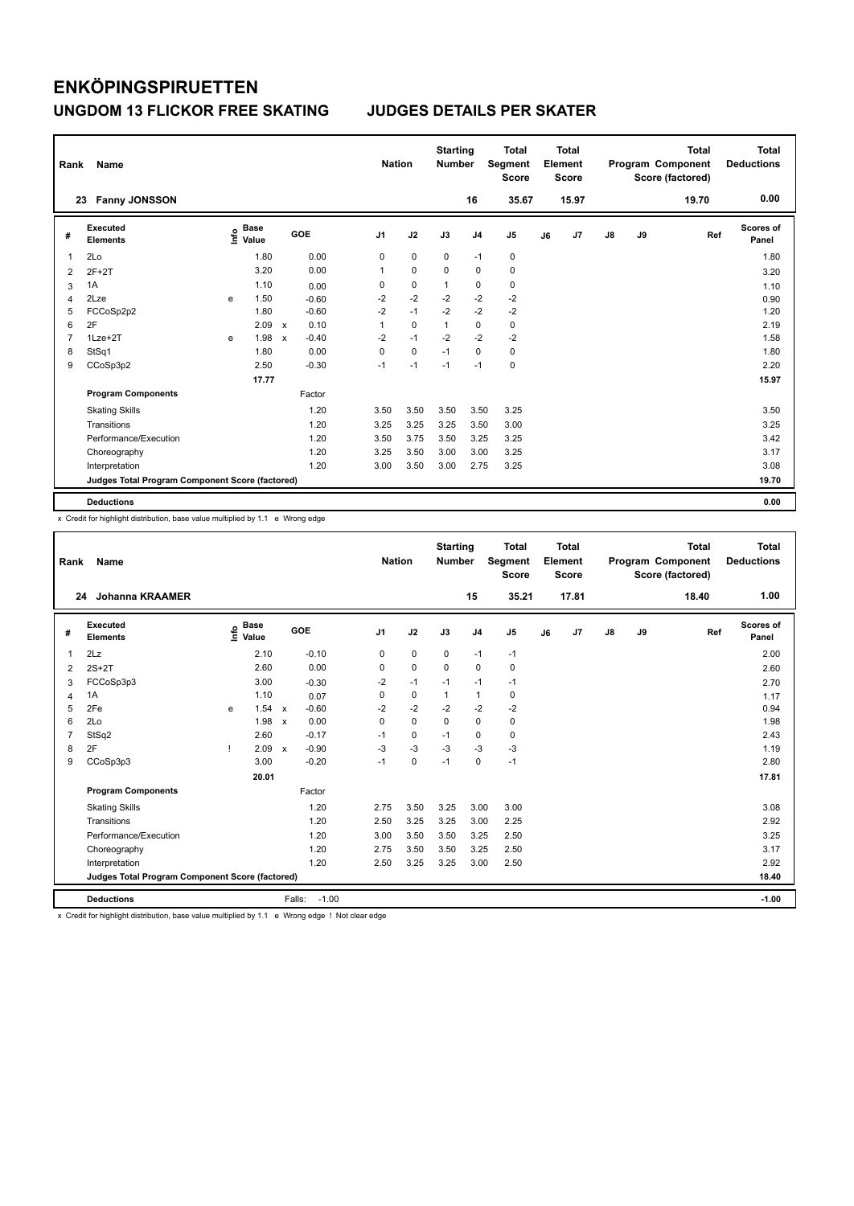| Rank | Name                                            |   |                                  |              |         |                | <b>Nation</b> |             | <b>Starting</b><br><b>Number</b> |                | <b>Total</b><br>Segment<br><b>Score</b> |    | <b>Total</b><br>Element<br><b>Score</b> |               |    | <b>Total</b><br>Program Component<br>Score (factored) | <b>Total</b><br><b>Deductions</b> |
|------|-------------------------------------------------|---|----------------------------------|--------------|---------|----------------|---------------|-------------|----------------------------------|----------------|-----------------------------------------|----|-----------------------------------------|---------------|----|-------------------------------------------------------|-----------------------------------|
|      | <b>Fanny JONSSON</b><br>23                      |   |                                  |              |         |                |               |             |                                  | 16             | 35.67                                   |    | 15.97                                   |               |    | 19.70                                                 | 0.00                              |
| #    | <b>Executed</b><br><b>Elements</b>              |   | <b>Base</b><br>e Base<br>⊆ Value |              | GOE     | J <sub>1</sub> |               | J2          | J3                               | J <sub>4</sub> | J <sub>5</sub>                          | J6 | J7                                      | $\mathsf{J}8$ | J9 | Ref                                                   | Scores of<br>Panel                |
| 1    | 2Lo                                             |   | 1.80                             |              | 0.00    |                | 0             | 0           | $\mathbf 0$                      | $-1$           | 0                                       |    |                                         |               |    |                                                       | 1.80                              |
| 2    | $2F+2T$                                         |   | 3.20                             |              | 0.00    |                | 1             | $\mathbf 0$ | $\Omega$                         | $\Omega$       | $\pmb{0}$                               |    |                                         |               |    |                                                       | 3.20                              |
| 3    | 1A                                              |   | 1.10                             |              | 0.00    |                | 0             | $\pmb{0}$   | 1                                | $\mathbf 0$    | $\pmb{0}$                               |    |                                         |               |    |                                                       | 1.10                              |
| 4    | 2Lze                                            | e | 1.50                             |              | $-0.60$ |                | $-2$          | $-2$        | $-2$                             | $-2$           | $-2$                                    |    |                                         |               |    |                                                       | 0.90                              |
| 5    | FCCoSp2p2                                       |   | 1.80                             |              | $-0.60$ |                | $-2$          | $-1$        | $-2$                             | $-2$           | $-2$                                    |    |                                         |               |    |                                                       | 1.20                              |
| 6    | 2F                                              |   | 2.09                             | $\mathsf{x}$ | 0.10    |                | 1             | $\mathbf 0$ | 1                                | $\mathbf 0$    | $\pmb{0}$                               |    |                                         |               |    |                                                       | 2.19                              |
| 7    | $1$ Lze $+2$ T                                  | e | 1.98                             | $\mathsf{x}$ | $-0.40$ |                | $-2$          | $-1$        | $-2$                             | $-2$           | $-2$                                    |    |                                         |               |    |                                                       | 1.58                              |
| 8    | StSq1                                           |   | 1.80                             |              | 0.00    |                | 0             | $\mathbf 0$ | $-1$                             | $\Omega$       | $\pmb{0}$                               |    |                                         |               |    |                                                       | 1.80                              |
| 9    | CCoSp3p2                                        |   | 2.50                             |              | $-0.30$ |                | $-1$          | $-1$        | $-1$                             | $-1$           | $\mathbf 0$                             |    |                                         |               |    |                                                       | 2.20                              |
|      |                                                 |   | 17.77                            |              |         |                |               |             |                                  |                |                                         |    |                                         |               |    |                                                       | 15.97                             |
|      | <b>Program Components</b>                       |   |                                  |              | Factor  |                |               |             |                                  |                |                                         |    |                                         |               |    |                                                       |                                   |
|      | <b>Skating Skills</b>                           |   |                                  |              | 1.20    |                | 3.50          | 3.50        | 3.50                             | 3.50           | 3.25                                    |    |                                         |               |    |                                                       | 3.50                              |
|      | Transitions                                     |   |                                  |              | 1.20    |                | 3.25          | 3.25        | 3.25                             | 3.50           | 3.00                                    |    |                                         |               |    |                                                       | 3.25                              |
|      | Performance/Execution                           |   |                                  |              | 1.20    |                | 3.50          | 3.75        | 3.50                             | 3.25           | 3.25                                    |    |                                         |               |    |                                                       | 3.42                              |
|      | Choreography                                    |   |                                  |              | 1.20    |                | 3.25          | 3.50        | 3.00                             | 3.00           | 3.25                                    |    |                                         |               |    |                                                       | 3.17                              |
|      | Interpretation                                  |   |                                  |              | 1.20    |                | 3.00          | 3.50        | 3.00                             | 2.75           | 3.25                                    |    |                                         |               |    |                                                       | 3.08                              |
|      | Judges Total Program Component Score (factored) |   |                                  |              |         |                |               |             |                                  |                |                                         |    |                                         |               |    |                                                       | 19.70                             |
|      | <b>Deductions</b>                               |   |                                  |              |         |                |               |             |                                  |                |                                         |    |                                         |               |    |                                                       | 0.00                              |

x Credit for highlight distribution, base value multiplied by 1.1 e Wrong edge

| Rank | Name                                            |    |                                  |              |                   | <b>Nation</b>  |             | <b>Starting</b><br><b>Number</b> |                | <b>Total</b><br>Segment<br><b>Score</b> |    | <b>Total</b><br>Element<br>Score |    |    | <b>Total</b><br>Program Component<br>Score (factored) | <b>Total</b><br><b>Deductions</b> |
|------|-------------------------------------------------|----|----------------------------------|--------------|-------------------|----------------|-------------|----------------------------------|----------------|-----------------------------------------|----|----------------------------------|----|----|-------------------------------------------------------|-----------------------------------|
|      | <b>Johanna KRAAMER</b><br>24                    |    |                                  |              |                   |                |             |                                  | 15             | 35.21                                   |    | 17.81                            |    |    | 18.40                                                 | 1.00                              |
| #    | <b>Executed</b><br><b>Elements</b>              |    | <b>Base</b><br>e Base<br>E Value |              | GOE               | J <sub>1</sub> | J2          | J3                               | J <sub>4</sub> | J <sub>5</sub>                          | J6 | J7                               | J8 | J9 | Ref                                                   | <b>Scores of</b><br>Panel         |
| 1    | 2Lz                                             |    | 2.10                             |              | $-0.10$           | 0              | $\mathbf 0$ | $\mathbf 0$                      | $-1$           | $-1$                                    |    |                                  |    |    |                                                       | 2.00                              |
| 2    | $2S+2T$                                         |    | 2.60                             |              | 0.00              | 0              | $\mathbf 0$ | 0                                | $\mathbf 0$    | 0                                       |    |                                  |    |    |                                                       | 2.60                              |
| 3    | FCCoSp3p3                                       |    | 3.00                             |              | $-0.30$           | $-2$           | $-1$        | $-1$                             | $-1$           | $-1$                                    |    |                                  |    |    |                                                       | 2.70                              |
| 4    | 1A                                              |    | 1.10                             |              | 0.07              | 0              | $\mathbf 0$ | $\mathbf{1}$                     | $\mathbf{1}$   | $\mathbf 0$                             |    |                                  |    |    |                                                       | 1.17                              |
| 5    | 2Fe                                             | e  | 1.54                             | $\mathsf{x}$ | $-0.60$           | $-2$           | $-2$        | $-2$                             | $-2$           | $-2$                                    |    |                                  |    |    |                                                       | 0.94                              |
| 6    | 2Lo                                             |    | 1.98                             | $\mathbf x$  | 0.00              | 0              | $\Omega$    | $\Omega$                         | $\Omega$       | $\pmb{0}$                               |    |                                  |    |    |                                                       | 1.98                              |
| 7    | StSq2                                           |    | 2.60                             |              | $-0.17$           | $-1$           | $\mathbf 0$ | $-1$                             | 0              | $\pmb{0}$                               |    |                                  |    |    |                                                       | 2.43                              |
| 8    | 2F                                              | -1 | 2.09                             | $\mathsf{x}$ | $-0.90$           | $-3$           | $-3$        | $-3$                             | $-3$           | $-3$                                    |    |                                  |    |    |                                                       | 1.19                              |
| 9    | CCoSp3p3                                        |    | 3.00                             |              | $-0.20$           | $-1$           | $\mathbf 0$ | $-1$                             | $\Omega$       | $-1$                                    |    |                                  |    |    |                                                       | 2.80                              |
|      |                                                 |    | 20.01                            |              |                   |                |             |                                  |                |                                         |    |                                  |    |    |                                                       | 17.81                             |
|      | <b>Program Components</b>                       |    |                                  |              | Factor            |                |             |                                  |                |                                         |    |                                  |    |    |                                                       |                                   |
|      | <b>Skating Skills</b>                           |    |                                  |              | 1.20              | 2.75           | 3.50        | 3.25                             | 3.00           | 3.00                                    |    |                                  |    |    |                                                       | 3.08                              |
|      | Transitions                                     |    |                                  |              | 1.20              | 2.50           | 3.25        | 3.25                             | 3.00           | 2.25                                    |    |                                  |    |    |                                                       | 2.92                              |
|      | Performance/Execution                           |    |                                  |              | 1.20              | 3.00           | 3.50        | 3.50                             | 3.25           | 2.50                                    |    |                                  |    |    |                                                       | 3.25                              |
|      | Choreography                                    |    |                                  |              | 1.20              | 2.75           | 3.50        | 3.50                             | 3.25           | 2.50                                    |    |                                  |    |    |                                                       | 3.17                              |
|      | Interpretation                                  |    |                                  |              | 1.20              | 2.50           | 3.25        | 3.25                             | 3.00           | 2.50                                    |    |                                  |    |    |                                                       | 2.92                              |
|      | Judges Total Program Component Score (factored) |    |                                  |              |                   |                |             |                                  |                |                                         |    |                                  |    |    |                                                       | 18.40                             |
|      | <b>Deductions</b>                               |    |                                  |              | $-1.00$<br>Falls: |                |             |                                  |                |                                         |    |                                  |    |    |                                                       | $-1.00$                           |

x Credit for highlight distribution, base value multiplied by 1.1 e Wrong edge ! Not clear edge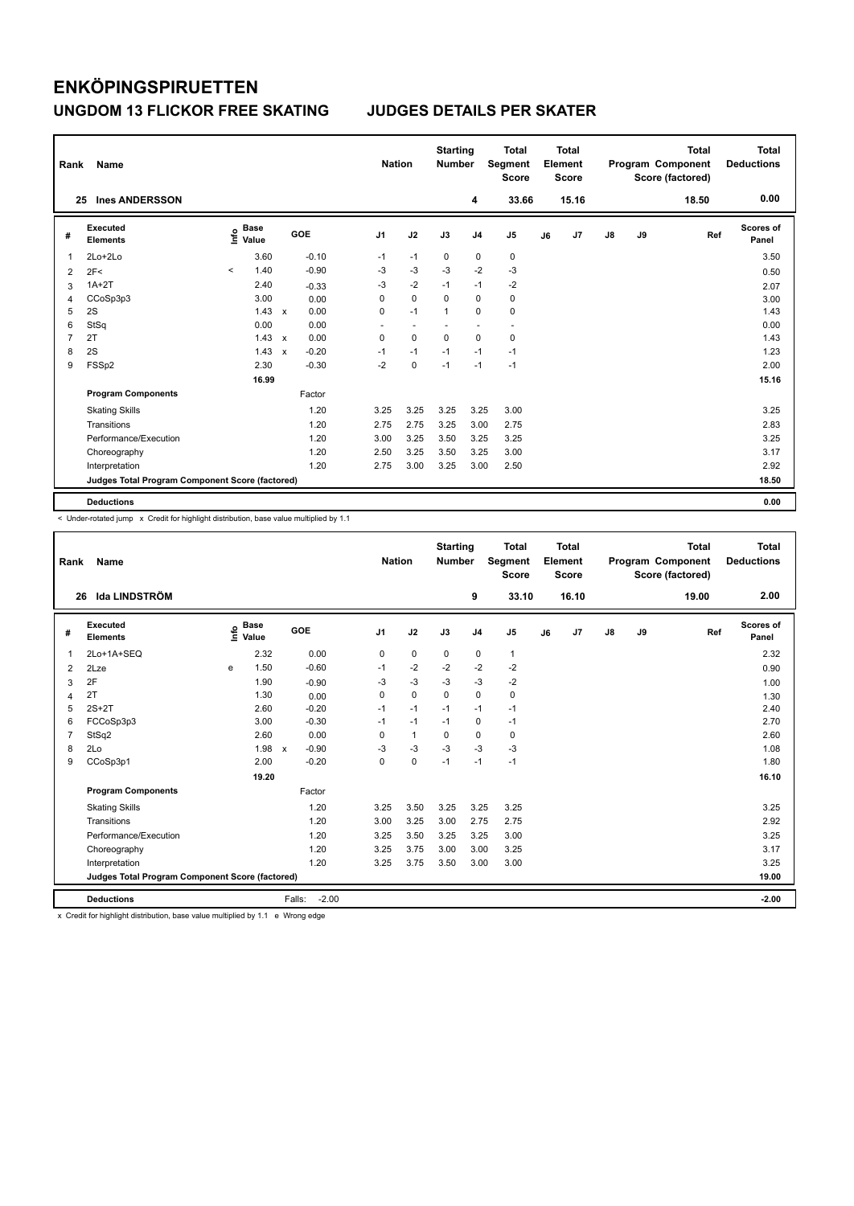| Rank | Name                                            |                                  |              |         | <b>Nation</b> |                          | <b>Starting</b><br><b>Number</b> |                | <b>Total</b><br>Segment<br><b>Score</b> |    | Total<br>Element<br><b>Score</b> |               |    | <b>Total</b><br>Program Component<br>Score (factored) | <b>Total</b><br><b>Deductions</b> |
|------|-------------------------------------------------|----------------------------------|--------------|---------|---------------|--------------------------|----------------------------------|----------------|-----------------------------------------|----|----------------------------------|---------------|----|-------------------------------------------------------|-----------------------------------|
|      | <b>Ines ANDERSSON</b><br>25                     |                                  |              |         |               |                          |                                  | 4              | 33.66                                   |    | 15.16                            |               |    | 18.50                                                 | 0.00                              |
| #    | <b>Executed</b><br><b>Elements</b>              | <b>Base</b><br>e Base<br>⊆ Value |              | GOE     | J1            | J2                       | J3                               | J <sub>4</sub> | J <sub>5</sub>                          | J6 | J7                               | $\mathsf{J}8$ | J9 | Ref                                                   | Scores of<br>Panel                |
| 1    | 2Lo+2Lo                                         | 3.60                             |              | $-0.10$ | $-1$          | $-1$                     | 0                                | 0              | 0                                       |    |                                  |               |    |                                                       | 3.50                              |
| 2    | 2F<                                             | 1.40<br>$\prec$                  |              | $-0.90$ | $-3$          | $-3$                     | $-3$                             | $-2$           | $-3$                                    |    |                                  |               |    |                                                       | 0.50                              |
| 3    | $1A+2T$                                         | 2.40                             |              | $-0.33$ | $-3$          | $-2$                     | $-1$                             | $-1$           | $-2$                                    |    |                                  |               |    |                                                       | 2.07                              |
| 4    | CCoSp3p3                                        | 3.00                             |              | 0.00    | 0             | $\mathbf 0$              | $\mathbf 0$                      | $\mathbf 0$    | 0                                       |    |                                  |               |    |                                                       | 3.00                              |
| 5    | 2S                                              | 1.43                             | $\mathbf{x}$ | 0.00    | 0             | $-1$                     | 1                                | 0              | $\pmb{0}$                               |    |                                  |               |    |                                                       | 1.43                              |
| 6    | StSq                                            | 0.00                             |              | 0.00    | ٠             | $\overline{\phantom{a}}$ |                                  | ٠              | $\overline{\phantom{a}}$                |    |                                  |               |    |                                                       | 0.00                              |
| 7    | 2T                                              | 1.43                             | $\mathsf{x}$ | 0.00    | 0             | $\mathbf 0$              | $\mathbf 0$                      | $\mathbf 0$    | 0                                       |    |                                  |               |    |                                                       | 1.43                              |
| 8    | 2S                                              | 1.43                             | $\mathsf{x}$ | $-0.20$ | $-1$          | $-1$                     | $-1$                             | $-1$           | $-1$                                    |    |                                  |               |    |                                                       | 1.23                              |
| 9    | FSSp2                                           | 2.30                             |              | $-0.30$ | $-2$          | $\mathbf 0$              | $-1$                             | $-1$           | $-1$                                    |    |                                  |               |    |                                                       | 2.00                              |
|      |                                                 | 16.99                            |              |         |               |                          |                                  |                |                                         |    |                                  |               |    |                                                       | 15.16                             |
|      | <b>Program Components</b>                       |                                  |              | Factor  |               |                          |                                  |                |                                         |    |                                  |               |    |                                                       |                                   |
|      | <b>Skating Skills</b>                           |                                  |              | 1.20    | 3.25          | 3.25                     | 3.25                             | 3.25           | 3.00                                    |    |                                  |               |    |                                                       | 3.25                              |
|      | Transitions                                     |                                  |              | 1.20    | 2.75          | 2.75                     | 3.25                             | 3.00           | 2.75                                    |    |                                  |               |    |                                                       | 2.83                              |
|      | Performance/Execution                           |                                  |              | 1.20    | 3.00          | 3.25                     | 3.50                             | 3.25           | 3.25                                    |    |                                  |               |    |                                                       | 3.25                              |
|      | Choreography                                    |                                  |              | 1.20    | 2.50          | 3.25                     | 3.50                             | 3.25           | 3.00                                    |    |                                  |               |    |                                                       | 3.17                              |
|      | Interpretation                                  |                                  |              | 1.20    | 2.75          | 3.00                     | 3.25                             | 3.00           | 2.50                                    |    |                                  |               |    |                                                       | 2.92                              |
|      | Judges Total Program Component Score (factored) |                                  |              |         |               |                          |                                  |                |                                         |    |                                  |               |    |                                                       | 18.50                             |
|      | <b>Deductions</b>                               |                                  |              |         |               |                          |                                  |                |                                         |    |                                  |               |    |                                                       | 0.00                              |

-<br>< Under-rotated jump x Credit for highlight distribution, base value multiplied by 1.1

| Rank           | <b>Name</b>                                     |   |                                  |                           |         | <b>Nation</b>  |              | <b>Starting</b><br><b>Number</b> |                | <b>Total</b><br>Segment<br><b>Score</b> |    | <b>Total</b><br>Element<br><b>Score</b> |               |    | <b>Total</b><br>Program Component<br>Score (factored) | Total<br><b>Deductions</b> |
|----------------|-------------------------------------------------|---|----------------------------------|---------------------------|---------|----------------|--------------|----------------------------------|----------------|-----------------------------------------|----|-----------------------------------------|---------------|----|-------------------------------------------------------|----------------------------|
| 26             | Ida LINDSTRÖM                                   |   |                                  |                           |         |                |              |                                  | 9              | 33.10                                   |    | 16.10                                   |               |    | 19.00                                                 | 2.00                       |
| #              | <b>Executed</b><br><b>Elements</b>              |   | <b>Base</b><br>e Base<br>⊆ Value |                           | GOE     | J <sub>1</sub> | J2           | J3                               | J <sub>4</sub> | J <sub>5</sub>                          | J6 | J7                                      | $\mathsf{J}8$ | J9 | Ref                                                   | <b>Scores of</b><br>Panel  |
| $\mathbf{1}$   | 2Lo+1A+SEQ                                      |   | 2.32                             |                           | 0.00    | $\mathbf 0$    | $\mathbf 0$  | $\mathbf 0$                      | $\mathbf 0$    | 1                                       |    |                                         |               |    |                                                       | 2.32                       |
| 2              | 2Lze                                            | e | 1.50                             |                           | $-0.60$ | $-1$           | $-2$         | $-2$                             | $-2$           | $-2$                                    |    |                                         |               |    |                                                       | 0.90                       |
| 3              | 2F                                              |   | 1.90                             |                           | $-0.90$ | $-3$           | $-3$         | $-3$                             | $-3$           | $-2$                                    |    |                                         |               |    |                                                       | 1.00                       |
| 4              | 2T                                              |   | 1.30                             |                           | 0.00    | $\mathbf 0$    | $\mathbf 0$  | $\mathbf 0$                      | $\mathbf 0$    | $\mathbf 0$                             |    |                                         |               |    |                                                       | 1.30                       |
| 5              | $2S+2T$                                         |   | 2.60                             |                           | $-0.20$ | $-1$           | $-1$         | $-1$                             | $-1$           | $-1$                                    |    |                                         |               |    |                                                       | 2.40                       |
| 6              | FCCoSp3p3                                       |   | 3.00                             |                           | $-0.30$ | $-1$           | $-1$         | $-1$                             | $\mathbf 0$    | $-1$                                    |    |                                         |               |    |                                                       | 2.70                       |
| $\overline{7}$ | StSq2                                           |   | 2.60                             |                           | 0.00    | 0              | $\mathbf{1}$ | $\mathbf 0$                      | $\mathbf 0$    | $\mathbf 0$                             |    |                                         |               |    |                                                       | 2.60                       |
| 8              | 2Lo                                             |   | 1.98                             | $\boldsymbol{\mathsf{x}}$ | $-0.90$ | $-3$           | $-3$         | $-3$                             | $-3$           | $-3$                                    |    |                                         |               |    |                                                       | 1.08                       |
| 9              | CCoSp3p1                                        |   | 2.00                             |                           | $-0.20$ | $\Omega$       | $\mathbf 0$  | $-1$                             | $-1$           | $-1$                                    |    |                                         |               |    |                                                       | 1.80                       |
|                |                                                 |   | 19.20                            |                           |         |                |              |                                  |                |                                         |    |                                         |               |    |                                                       | 16.10                      |
|                | <b>Program Components</b>                       |   |                                  |                           | Factor  |                |              |                                  |                |                                         |    |                                         |               |    |                                                       |                            |
|                | <b>Skating Skills</b>                           |   |                                  |                           | 1.20    | 3.25           | 3.50         | 3.25                             | 3.25           | 3.25                                    |    |                                         |               |    |                                                       | 3.25                       |
|                | Transitions                                     |   |                                  |                           | 1.20    | 3.00           | 3.25         | 3.00                             | 2.75           | 2.75                                    |    |                                         |               |    |                                                       | 2.92                       |
|                | Performance/Execution                           |   |                                  |                           | 1.20    | 3.25           | 3.50         | 3.25                             | 3.25           | 3.00                                    |    |                                         |               |    |                                                       | 3.25                       |
|                | Choreography                                    |   |                                  |                           | 1.20    | 3.25           | 3.75         | 3.00                             | 3.00           | 3.25                                    |    |                                         |               |    |                                                       | 3.17                       |
|                | Interpretation                                  |   |                                  |                           | 1.20    | 3.25           | 3.75         | 3.50                             | 3.00           | 3.00                                    |    |                                         |               |    |                                                       | 3.25                       |
|                | Judges Total Program Component Score (factored) |   |                                  |                           |         |                |              |                                  |                |                                         |    |                                         |               |    |                                                       | 19.00                      |
|                | <b>Deductions</b>                               |   |                                  | Falls:                    | $-2.00$ |                |              |                                  |                |                                         |    |                                         |               |    |                                                       | $-2.00$                    |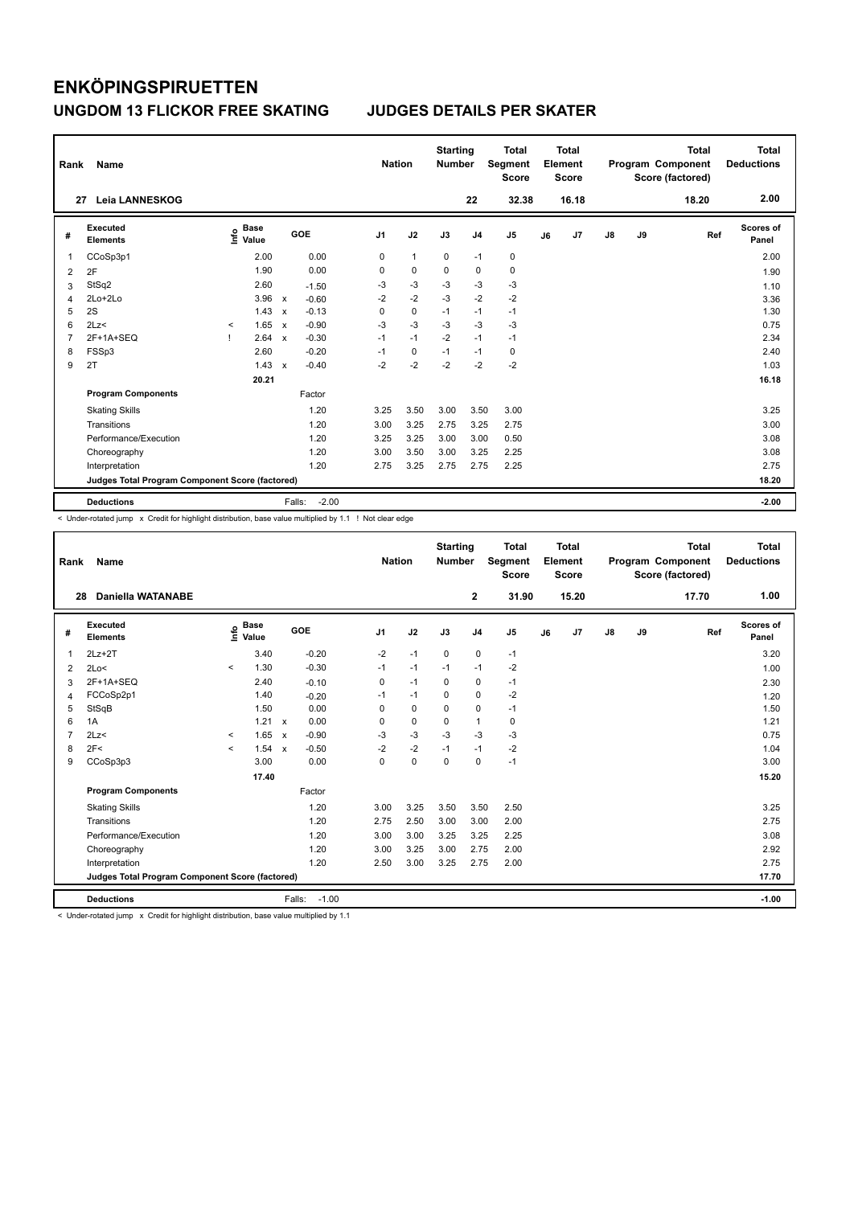|   | Rank<br>Name                                    |                     |                                  |              |                   |                | <b>Nation</b> |      | <b>Starting</b><br><b>Number</b> | <b>Total</b><br>Segment<br><b>Score</b> | Total<br>Element<br><b>Score</b> |       |    |    | <b>Total</b><br>Program Component<br>Score (factored) | <b>Total</b><br><b>Deductions</b> |
|---|-------------------------------------------------|---------------------|----------------------------------|--------------|-------------------|----------------|---------------|------|----------------------------------|-----------------------------------------|----------------------------------|-------|----|----|-------------------------------------------------------|-----------------------------------|
|   | <b>Leia LANNESKOG</b><br>27                     |                     |                                  |              |                   |                |               |      | 22                               | 32.38                                   |                                  | 16.18 |    |    | 18.20                                                 | 2.00                              |
| # | <b>Executed</b><br><b>Elements</b>              |                     | <b>Base</b><br>e Base<br>⊆ Value |              | GOE               | J <sub>1</sub> | J2            | J3   | J <sub>4</sub>                   | J <sub>5</sub>                          | J6                               | J7    | J8 | J9 | Ref                                                   | <b>Scores of</b><br>Panel         |
| 1 | CCoSp3p1                                        |                     | 2.00                             |              | 0.00              | 0              | $\mathbf{1}$  | 0    | $-1$                             | 0                                       |                                  |       |    |    |                                                       | 2.00                              |
| 2 | 2F                                              |                     | 1.90                             |              | 0.00              | 0              | $\mathbf 0$   | 0    | 0                                | $\mathbf 0$                             |                                  |       |    |    |                                                       | 1.90                              |
| 3 | StSq2                                           |                     | 2.60                             |              | $-1.50$           | $-3$           | $-3$          | $-3$ | $-3$                             | $-3$                                    |                                  |       |    |    |                                                       | 1.10                              |
| 4 | 2Lo+2Lo                                         |                     | 3.96                             | $\mathsf{x}$ | $-0.60$           | $-2$           | $-2$          | $-3$ | $-2$                             | $-2$                                    |                                  |       |    |    |                                                       | 3.36                              |
| 5 | 2S                                              |                     | 1.43                             | $\mathsf{x}$ | $-0.13$           | 0              | $\mathbf 0$   | $-1$ | $-1$                             | $-1$                                    |                                  |       |    |    |                                                       | 1.30                              |
| 6 | 2Lz                                             | $\hat{\phantom{a}}$ | 1.65                             | $\mathsf{x}$ | $-0.90$           | $-3$           | $-3$          | $-3$ | $-3$                             | $-3$                                    |                                  |       |    |    |                                                       | 0.75                              |
| 7 | 2F+1A+SEQ                                       | -1                  | 2.64                             | $\mathsf{x}$ | $-0.30$           | $-1$           | $-1$          | $-2$ | $-1$                             | $-1$                                    |                                  |       |    |    |                                                       | 2.34                              |
| 8 | FSSp3                                           |                     | 2.60                             |              | $-0.20$           | $-1$           | 0             | $-1$ | $-1$                             | 0                                       |                                  |       |    |    |                                                       | 2.40                              |
| 9 | 2T                                              |                     | 1.43                             | $\mathsf{x}$ | $-0.40$           | $-2$           | $-2$          | $-2$ | $-2$                             | $-2$                                    |                                  |       |    |    |                                                       | 1.03                              |
|   |                                                 |                     | 20.21                            |              |                   |                |               |      |                                  |                                         |                                  |       |    |    |                                                       | 16.18                             |
|   | <b>Program Components</b>                       |                     |                                  |              | Factor            |                |               |      |                                  |                                         |                                  |       |    |    |                                                       |                                   |
|   | <b>Skating Skills</b>                           |                     |                                  |              | 1.20              | 3.25           | 3.50          | 3.00 | 3.50                             | 3.00                                    |                                  |       |    |    |                                                       | 3.25                              |
|   | Transitions                                     |                     |                                  |              | 1.20              | 3.00           | 3.25          | 2.75 | 3.25                             | 2.75                                    |                                  |       |    |    |                                                       | 3.00                              |
|   | Performance/Execution                           |                     |                                  |              | 1.20              | 3.25           | 3.25          | 3.00 | 3.00                             | 0.50                                    |                                  |       |    |    |                                                       | 3.08                              |
|   | Choreography                                    |                     |                                  |              | 1.20              | 3.00           | 3.50          | 3.00 | 3.25                             | 2.25                                    |                                  |       |    |    |                                                       | 3.08                              |
|   | Interpretation                                  |                     |                                  |              | 1.20              | 2.75           | 3.25          | 2.75 | 2.75                             | 2.25                                    |                                  |       |    |    |                                                       | 2.75                              |
|   | Judges Total Program Component Score (factored) |                     |                                  |              |                   |                |               |      |                                  |                                         |                                  |       |    |    |                                                       | 18.20                             |
|   | <b>Deductions</b>                               |                     |                                  |              | $-2.00$<br>Falls: |                |               |      |                                  |                                         |                                  |       |    |    |                                                       | $-2.00$                           |

< Under-rotated jump x Credit for highlight distribution, base value multiplied by 1.1 ! Not clear edge

| Rank           | <b>Name</b>                                     |         |                                    |                           |         | <b>Nation</b>  |             | <b>Starting</b><br><b>Number</b> |                | Total<br>Segment<br><b>Score</b> |    | <b>Total</b><br>Element<br><b>Score</b> |    |    | <b>Total</b><br>Program Component<br>Score (factored) | <b>Total</b><br><b>Deductions</b> |
|----------------|-------------------------------------------------|---------|------------------------------------|---------------------------|---------|----------------|-------------|----------------------------------|----------------|----------------------------------|----|-----------------------------------------|----|----|-------------------------------------------------------|-----------------------------------|
|                | <b>Daniella WATANABE</b><br>28                  |         |                                    |                           |         |                |             |                                  | $\mathbf{2}$   | 31.90                            |    | 15.20                                   |    |    | 17.70                                                 | 1.00                              |
| #              | <b>Executed</b><br><b>Elements</b>              |         | <b>Base</b><br>$\frac{6}{5}$ Value |                           | GOE     | J <sub>1</sub> | J2          | J3                               | J <sub>4</sub> | J <sub>5</sub>                   | J6 | J7                                      | J8 | J9 | Ref                                                   | <b>Scores of</b><br>Panel         |
| $\mathbf 1$    | $2Lz+2T$                                        |         | 3.40                               |                           | $-0.20$ | $-2$           | $-1$        | $\mathbf 0$                      | $\mathbf 0$    | $-1$                             |    |                                         |    |    |                                                       | 3.20                              |
| 2              | 2Lo<                                            | $\prec$ | 1.30                               |                           | $-0.30$ | $-1$           | $-1$        | $-1$                             | $-1$           | $-2$                             |    |                                         |    |    |                                                       | 1.00                              |
| 3              | 2F+1A+SEQ                                       |         | 2.40                               |                           | $-0.10$ | 0              | $-1$        | $\Omega$                         | $\mathbf 0$    | $-1$                             |    |                                         |    |    |                                                       | 2.30                              |
| 4              | FCCoSp2p1                                       |         | 1.40                               |                           | $-0.20$ | $-1$           | $-1$        | $\mathbf 0$                      | $\mathbf 0$    | $-2$                             |    |                                         |    |    |                                                       | 1.20                              |
| 5              | StSqB                                           |         | 1.50                               |                           | 0.00    | 0              | 0           | 0                                | 0              | $-1$                             |    |                                         |    |    |                                                       | 1.50                              |
| 6              | 1A                                              |         | $1.21 \times$                      |                           | 0.00    | $\Omega$       | $\mathbf 0$ | $\Omega$                         | 1              | 0                                |    |                                         |    |    |                                                       | 1.21                              |
| $\overline{7}$ | 2Lz<                                            | $\prec$ | 1.65                               | $\boldsymbol{\mathsf{x}}$ | $-0.90$ | $-3$           | $-3$        | $-3$                             | $-3$           | $-3$                             |    |                                         |    |    |                                                       | 0.75                              |
| 8              | 2F<                                             | $\prec$ | 1.54                               | $\boldsymbol{\mathsf{x}}$ | $-0.50$ | $-2$           | $-2$        | $-1$                             | $-1$           | $-2$                             |    |                                         |    |    |                                                       | 1.04                              |
| 9              | CCoSp3p3                                        |         | 3.00                               |                           | 0.00    | $\Omega$       | $\mathbf 0$ | $\Omega$                         | $\Omega$       | $-1$                             |    |                                         |    |    |                                                       | 3.00                              |
|                |                                                 |         | 17.40                              |                           |         |                |             |                                  |                |                                  |    |                                         |    |    |                                                       | 15.20                             |
|                | <b>Program Components</b>                       |         |                                    |                           | Factor  |                |             |                                  |                |                                  |    |                                         |    |    |                                                       |                                   |
|                | <b>Skating Skills</b>                           |         |                                    |                           | 1.20    | 3.00           | 3.25        | 3.50                             | 3.50           | 2.50                             |    |                                         |    |    |                                                       | 3.25                              |
|                | Transitions                                     |         |                                    |                           | 1.20    | 2.75           | 2.50        | 3.00                             | 3.00           | 2.00                             |    |                                         |    |    |                                                       | 2.75                              |
|                | Performance/Execution                           |         |                                    |                           | 1.20    | 3.00           | 3.00        | 3.25                             | 3.25           | 2.25                             |    |                                         |    |    |                                                       | 3.08                              |
|                | Choreography                                    |         |                                    |                           | 1.20    | 3.00           | 3.25        | 3.00                             | 2.75           | 2.00                             |    |                                         |    |    |                                                       | 2.92                              |
|                | Interpretation                                  |         |                                    |                           | 1.20    | 2.50           | 3.00        | 3.25                             | 2.75           | 2.00                             |    |                                         |    |    |                                                       | 2.75                              |
|                | Judges Total Program Component Score (factored) |         |                                    |                           |         |                |             |                                  |                |                                  |    |                                         |    |    |                                                       | 17.70                             |
|                | <b>Deductions</b>                               |         |                                    | Falls:                    | $-1.00$ |                |             |                                  |                |                                  |    |                                         |    |    |                                                       | $-1.00$                           |

< Under-rotated jump x Credit for highlight distribution, base value multiplied by 1.1